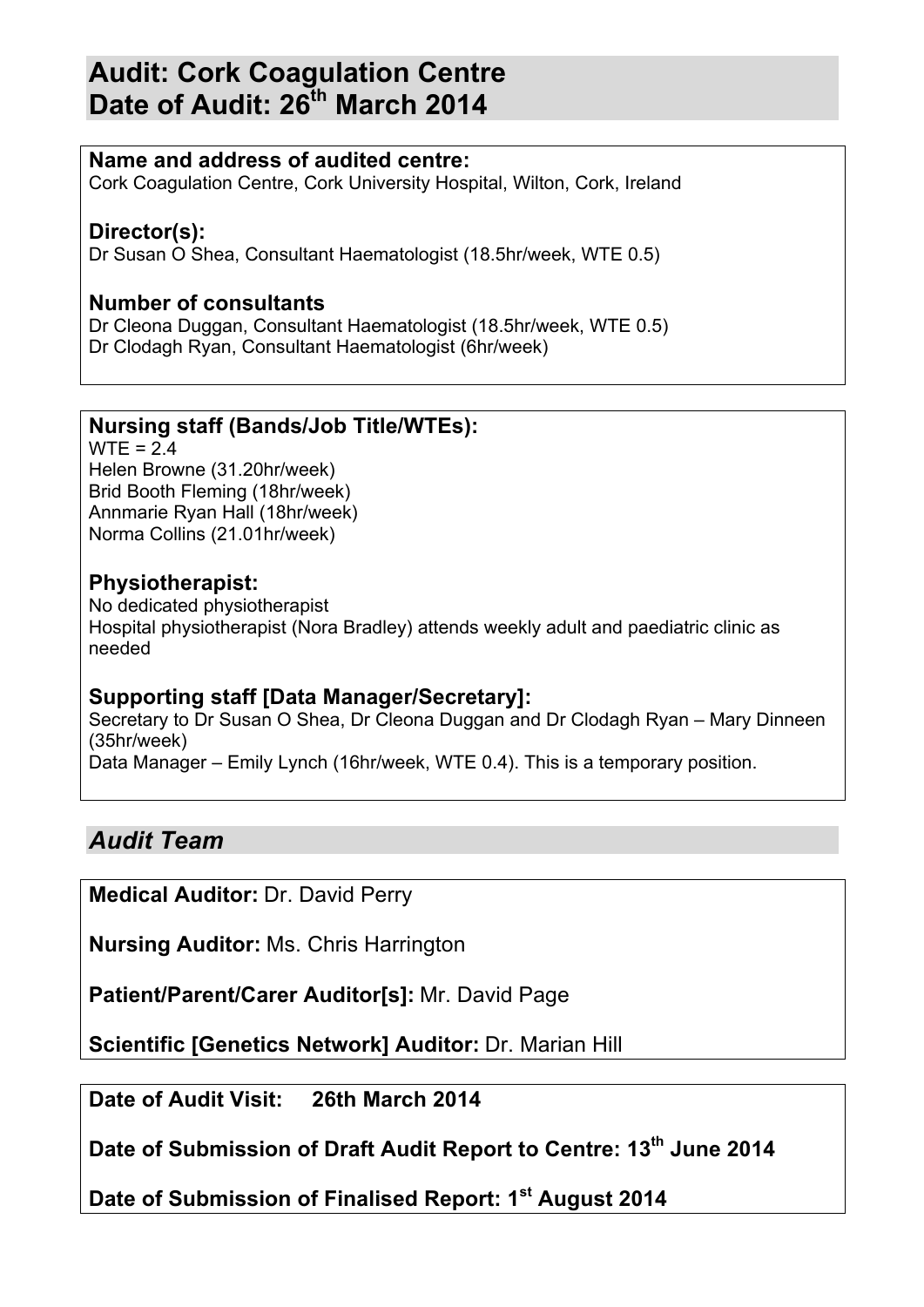# **Audit: Cork Coagulation Centre Date of Audit: 26th March 2014**

## **Name and address of audited centre:**

Cork Coagulation Centre, Cork University Hospital, Wilton, Cork, Ireland

## **Director(s):**

Dr Susan O Shea, Consultant Haematologist (18.5hr/week, WTE 0.5)

## **Number of consultants**

Dr Cleona Duggan, Consultant Haematologist (18.5hr/week, WTE 0.5) Dr Clodagh Ryan, Consultant Haematologist (6hr/week)

## **Nursing staff (Bands/Job Title/WTEs):**

 $WTE = 2.4$ Helen Browne (31.20hr/week) Brid Booth Fleming (18hr/week) Annmarie Ryan Hall (18hr/week) Norma Collins (21.01hr/week)

## **Physiotherapist:**

No dedicated physiotherapist Hospital physiotherapist (Nora Bradley) attends weekly adult and paediatric clinic as needed

## **Supporting staff [Data Manager/Secretary]:**

Secretary to Dr Susan O Shea, Dr Cleona Duggan and Dr Clodagh Ryan – Mary Dinneen (35hr/week) Data Manager – Emily Lynch (16hr/week, WTE 0.4). This is a temporary position.

## *Audit Team*

**Medical Auditor:** Dr. David Perry

**Nursing Auditor:** Ms. Chris Harrington

**Patient/Parent/Carer Auditor[s]:** Mr. David Page

**Scientific [Genetics Network] Auditor:** Dr. Marian Hill

**Date of Audit Visit: 26th March 2014**

**Date of Submission of Draft Audit Report to Centre: 13th June 2014**

**Date of Submission of Finalised Report: 1st August 2014**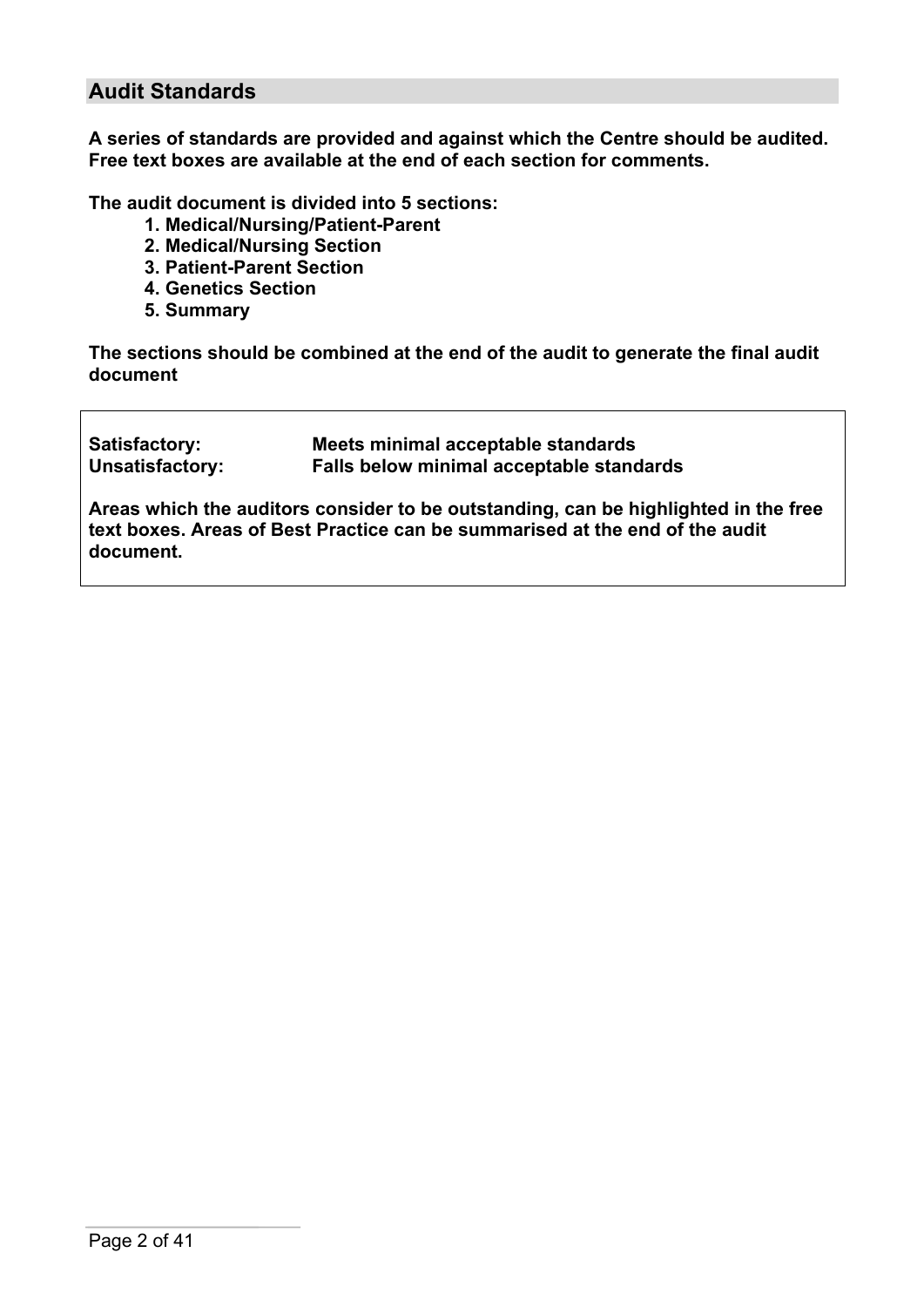## **Audit Standards**

**A series of standards are provided and against which the Centre should be audited. Free text boxes are available at the end of each section for comments.**

**The audit document is divided into 5 sections:**

- **1. Medical/Nursing/Patient-Parent**
- **2. Medical/Nursing Section**
- **3. Patient-Parent Section**
- **4. Genetics Section**
- **5. Summary**

**The sections should be combined at the end of the audit to generate the final audit document**

| Satisfactory:   | Meets minimal acceptable standards       |
|-----------------|------------------------------------------|
| Unsatisfactory: | Falls below minimal acceptable standards |

**Areas which the auditors consider to be outstanding, can be highlighted in the free text boxes. Areas of Best Practice can be summarised at the end of the audit document.**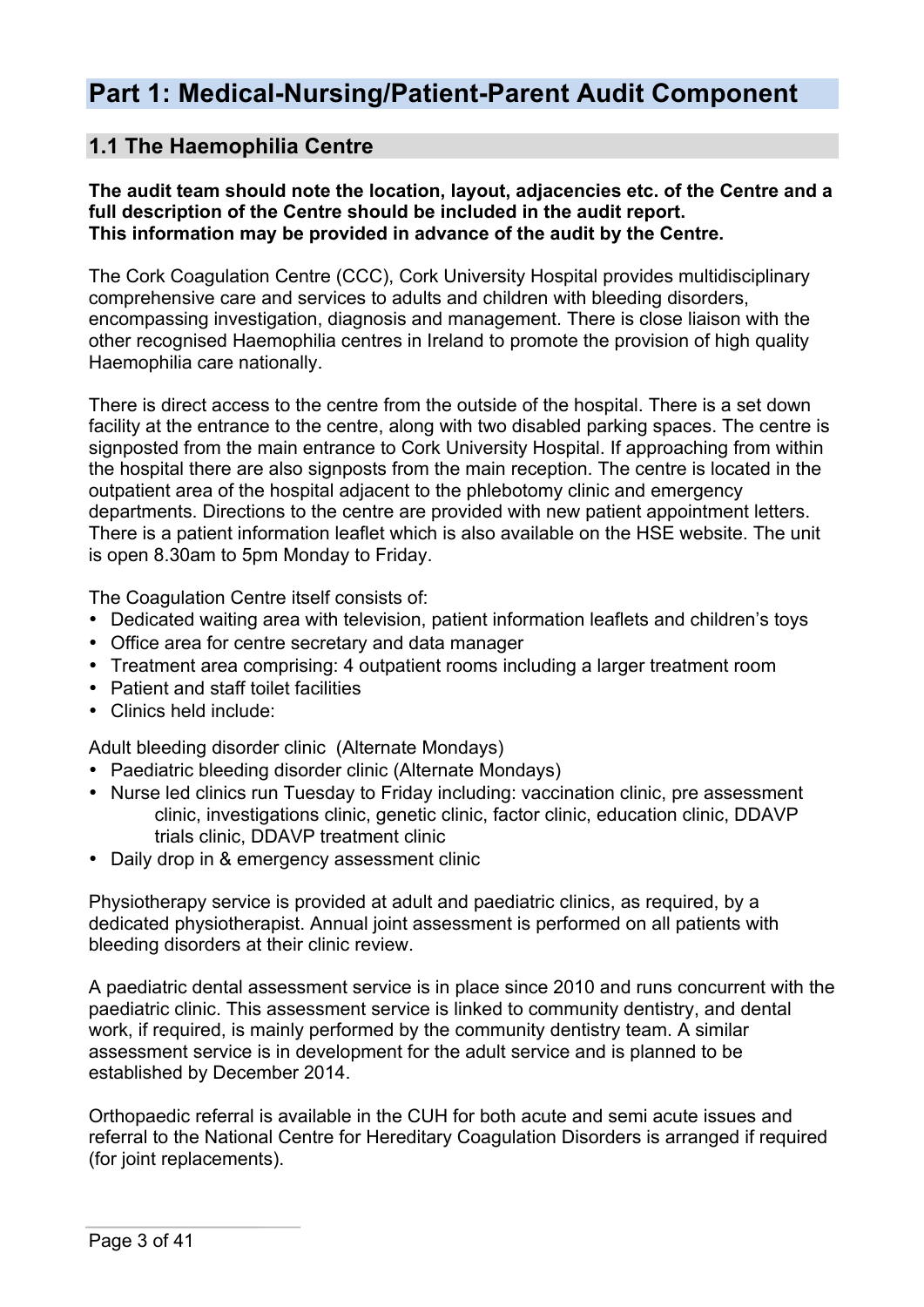# **Part 1: Medical-Nursing/Patient-Parent Audit Component**

## **1.1 The Haemophilia Centre**

#### **The audit team should note the location, layout, adjacencies etc. of the Centre and a full description of the Centre should be included in the audit report. This information may be provided in advance of the audit by the Centre.**

The Cork Coagulation Centre (CCC), Cork University Hospital provides multidisciplinary comprehensive care and services to adults and children with bleeding disorders, encompassing investigation, diagnosis and management. There is close liaison with the other recognised Haemophilia centres in Ireland to promote the provision of high quality Haemophilia care nationally.

There is direct access to the centre from the outside of the hospital. There is a set down facility at the entrance to the centre, along with two disabled parking spaces. The centre is signposted from the main entrance to Cork University Hospital. If approaching from within the hospital there are also signposts from the main reception. The centre is located in the outpatient area of the hospital adjacent to the phlebotomy clinic and emergency departments. Directions to the centre are provided with new patient appointment letters. There is a patient information leaflet which is also available on the HSE website. The unit is open 8.30am to 5pm Monday to Friday.

The Coagulation Centre itself consists of:

- Dedicated waiting area with television, patient information leaflets and children's toys
- Office area for centre secretary and data manager
- Treatment area comprising: 4 outpatient rooms including a larger treatment room
- Patient and staff toilet facilities
- Clinics held include:

Adult bleeding disorder clinic (Alternate Mondays)

- Paediatric bleeding disorder clinic (Alternate Mondays)
- Nurse led clinics run Tuesday to Friday including: vaccination clinic, pre assessment clinic, investigations clinic, genetic clinic, factor clinic, education clinic, DDAVP trials clinic, DDAVP treatment clinic
- Daily drop in & emergency assessment clinic

Physiotherapy service is provided at adult and paediatric clinics, as required, by a dedicated physiotherapist. Annual joint assessment is performed on all patients with bleeding disorders at their clinic review.

A paediatric dental assessment service is in place since 2010 and runs concurrent with the paediatric clinic. This assessment service is linked to community dentistry, and dental work, if required, is mainly performed by the community dentistry team. A similar assessment service is in development for the adult service and is planned to be established by December 2014.

Orthopaedic referral is available in the CUH for both acute and semi acute issues and referral to the National Centre for Hereditary Coagulation Disorders is arranged if required (for joint replacements).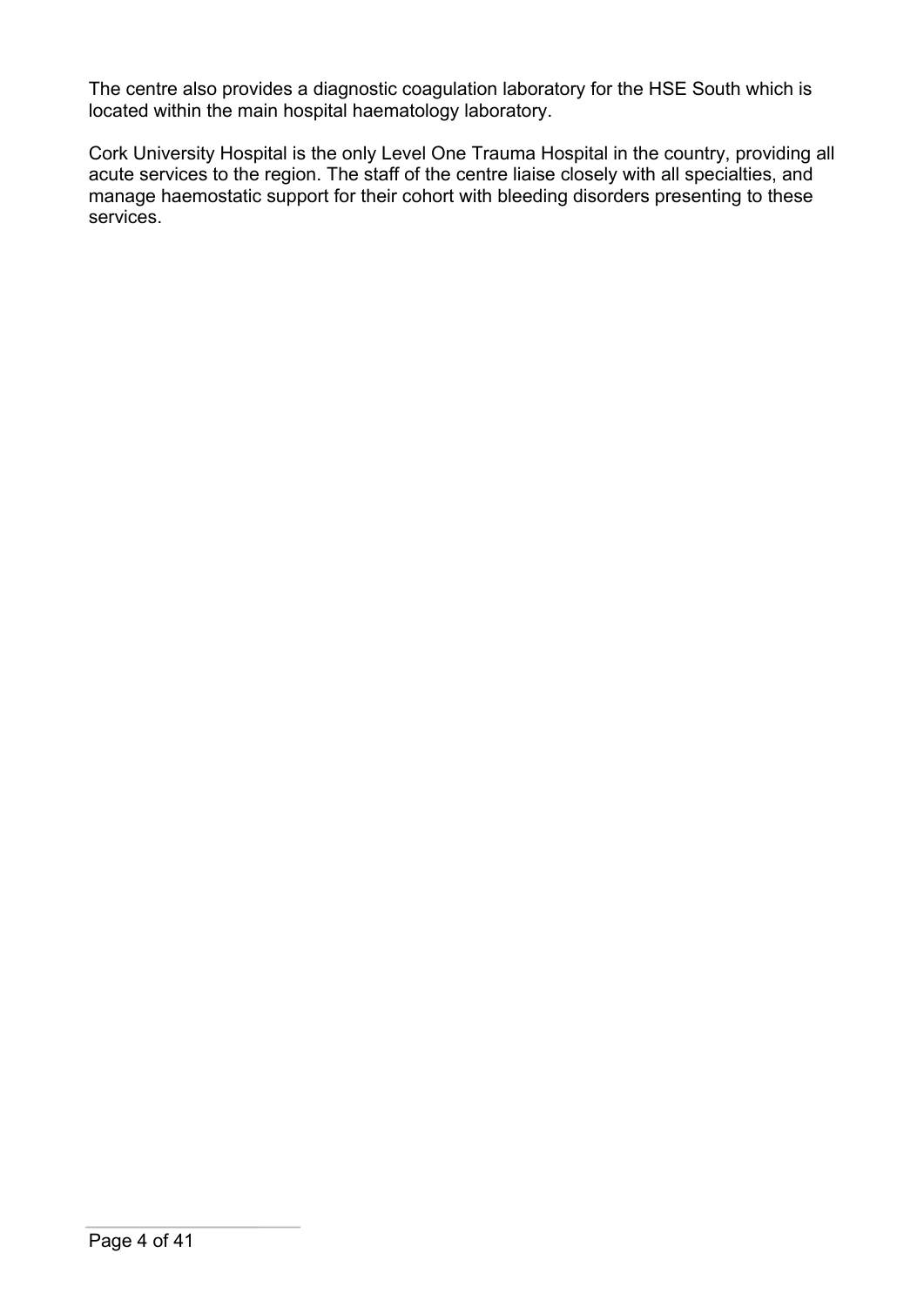The centre also provides a diagnostic coagulation laboratory for the HSE South which is located within the main hospital haematology laboratory.

Cork University Hospital is the only Level One Trauma Hospital in the country, providing all acute services to the region. The staff of the centre liaise closely with all specialties, and manage haemostatic support for their cohort with bleeding disorders presenting to these services.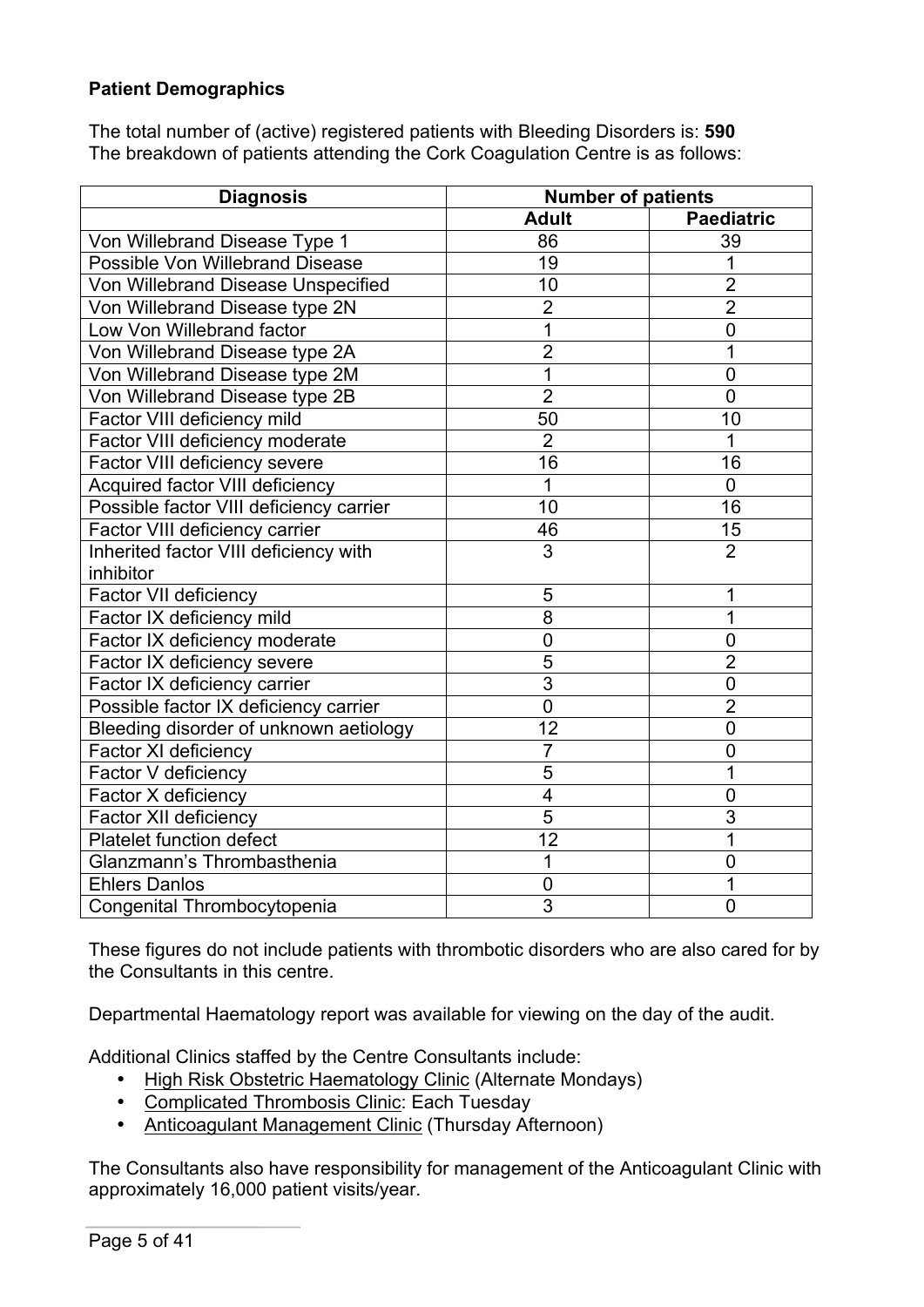### **Patient Demographics**

The total number of (active) registered patients with Bleeding Disorders is: **590** The breakdown of patients attending the Cork Coagulation Centre is as follows:

| <b>Diagnosis</b>                        | <b>Number of patients</b> |                   |  |
|-----------------------------------------|---------------------------|-------------------|--|
|                                         | <b>Adult</b>              | <b>Paediatric</b> |  |
| Von Willebrand Disease Type 1           | 86                        | 39                |  |
| Possible Von Willebrand Disease         | 19                        |                   |  |
| Von Willebrand Disease Unspecified      | 10                        | $\overline{2}$    |  |
| Von Willebrand Disease type 2N          | $\overline{2}$            | $\overline{2}$    |  |
| Low Von Willebrand factor               | $\overline{1}$            | $\overline{0}$    |  |
| Von Willebrand Disease type 2A          | $\overline{2}$            | 1                 |  |
| Von Willebrand Disease type 2M          | 1                         | $\mathbf 0$       |  |
| Von Willebrand Disease type 2B          | $\overline{2}$            | $\overline{0}$    |  |
| Factor VIII deficiency mild             | 50                        | 10                |  |
| Factor VIII deficiency moderate         | $\overline{2}$            | 1                 |  |
| Factor VIII deficiency severe           | 16                        | 16                |  |
| Acquired factor VIII deficiency         | 1                         | $\overline{0}$    |  |
| Possible factor VIII deficiency carrier | 10                        | 16                |  |
| Factor VIII deficiency carrier          | 46                        | 15                |  |
| Inherited factor VIII deficiency with   | $\overline{3}$            | $\overline{2}$    |  |
| inhibitor                               |                           |                   |  |
| Factor VII deficiency                   | 5                         | 1                 |  |
| Factor IX deficiency mild               | 8                         | 1                 |  |
| Factor IX deficiency moderate           | $\mathbf 0$               | $\overline{0}$    |  |
| Factor IX deficiency severe             | $\overline{5}$            | $\overline{2}$    |  |
| Factor IX deficiency carrier            | $\overline{3}$            | $\overline{0}$    |  |
| Possible factor IX deficiency carrier   | $\overline{0}$            | $\overline{2}$    |  |
| Bleeding disorder of unknown aetiology  | 12                        | $\overline{0}$    |  |
| Factor XI deficiency                    | $\overline{7}$            | $\mathbf 0$       |  |
| Factor V deficiency                     | 5                         | 1                 |  |
| Factor X deficiency                     | $\overline{\mathbf{4}}$   | $\mathbf 0$       |  |
| Factor XII deficiency                   | 5                         | 3                 |  |
| Platelet function defect                | 12                        | 1                 |  |
| Glanzmann's Thrombasthenia              | 1                         | $\overline{0}$    |  |
| <b>Ehlers Danlos</b>                    | $\mathbf 0$               | 1                 |  |
| Congenital Thrombocytopenia             | $\overline{3}$            | $\overline{0}$    |  |

These figures do not include patients with thrombotic disorders who are also cared for by the Consultants in this centre.

Departmental Haematology report was available for viewing on the day of the audit.

Additional Clinics staffed by the Centre Consultants include:

- High Risk Obstetric Haematology Clinic (Alternate Mondays)
- Complicated Thrombosis Clinic: Each Tuesday
- Anticoagulant Management Clinic (Thursday Afternoon)

The Consultants also have responsibility for management of the Anticoagulant Clinic with approximately 16,000 patient visits/year.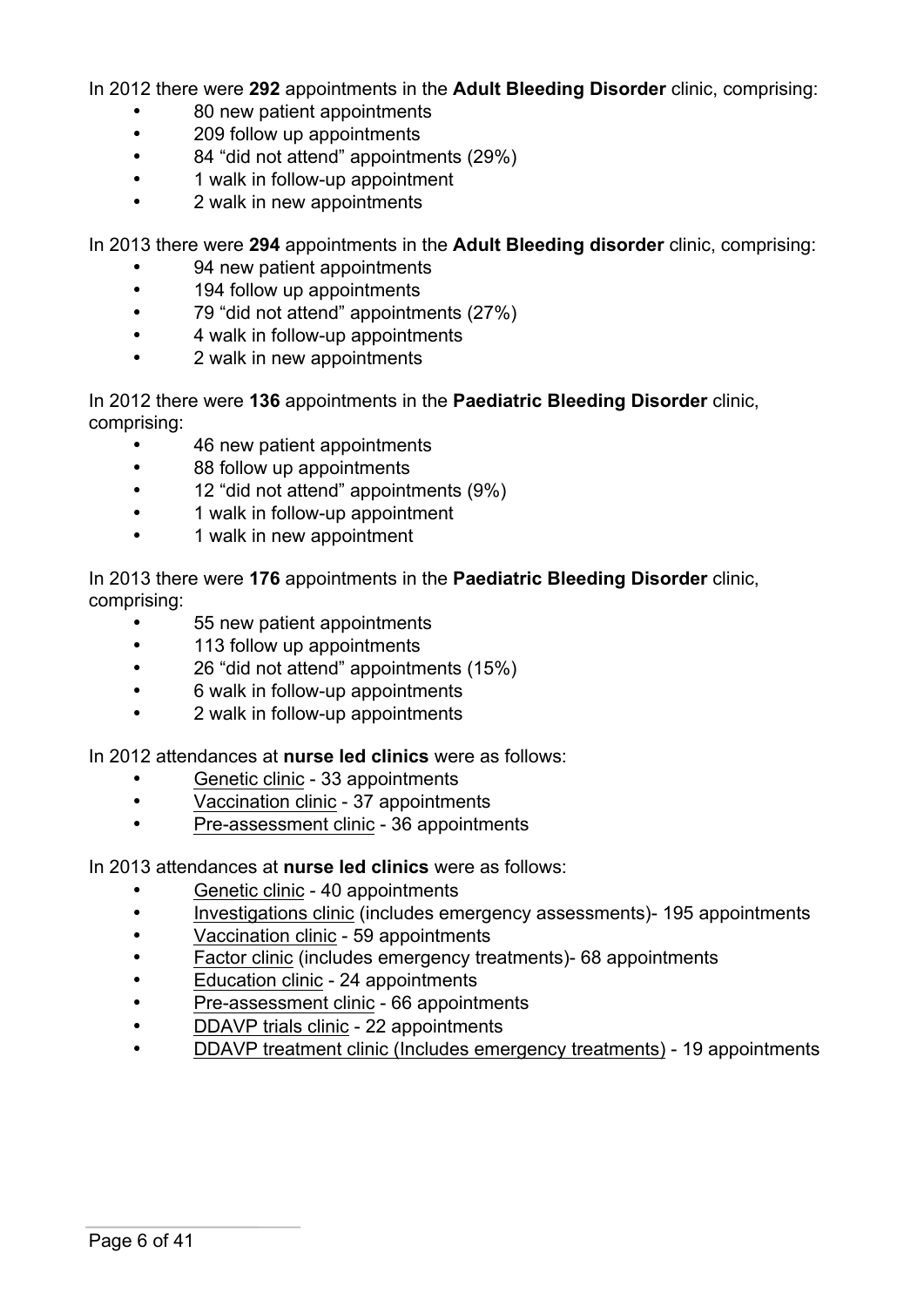In 2012 there were **292** appointments in the **Adult Bleeding Disorder** clinic, comprising:

- 80 new patient appointments
- 209 follow up appointments
- 84 "did not attend" appointments (29%)
- 1 walk in follow-up appointment
- 2 walk in new appointments

In 2013 there were **294** appointments in the **Adult Bleeding disorder** clinic, comprising:

- 94 new patient appointments
- 194 follow up appointments
- 79 "did not attend" appointments (27%)
- 4 walk in follow-up appointments
- 2 walk in new appointments

In 2012 there were **136** appointments in the **Paediatric Bleeding Disorder** clinic, comprising:

- 46 new patient appointments
- 88 follow up appointments
- 12 "did not attend" appointments (9%)
- 1 walk in follow-up appointment
- 1 walk in new appointment

In 2013 there were **176** appointments in the **Paediatric Bleeding Disorder** clinic, comprising:

- 55 new patient appointments
- 113 follow up appointments
- 26 "did not attend" appointments (15%)
- 6 walk in follow-up appointments
- 2 walk in follow-up appointments

In 2012 attendances at **nurse led clinics** were as follows:

- Genetic clinic 33 appointments
- Vaccination clinic 37 appointments
- Pre-assessment clinic 36 appointments

In 2013 attendances at **nurse led clinics** were as follows:

- Genetic clinic 40 appointments
- Investigations clinic (includes emergency assessments)- 195 appointments
- Vaccination clinic 59 appointments
- Factor clinic (includes emergency treatments)- 68 appointments
- Education clinic 24 appointments
- Pre-assessment clinic 66 appointments
- DDAVP trials clinic 22 appointments
- DDAVP treatment clinic (Includes emergency treatments) 19 appointments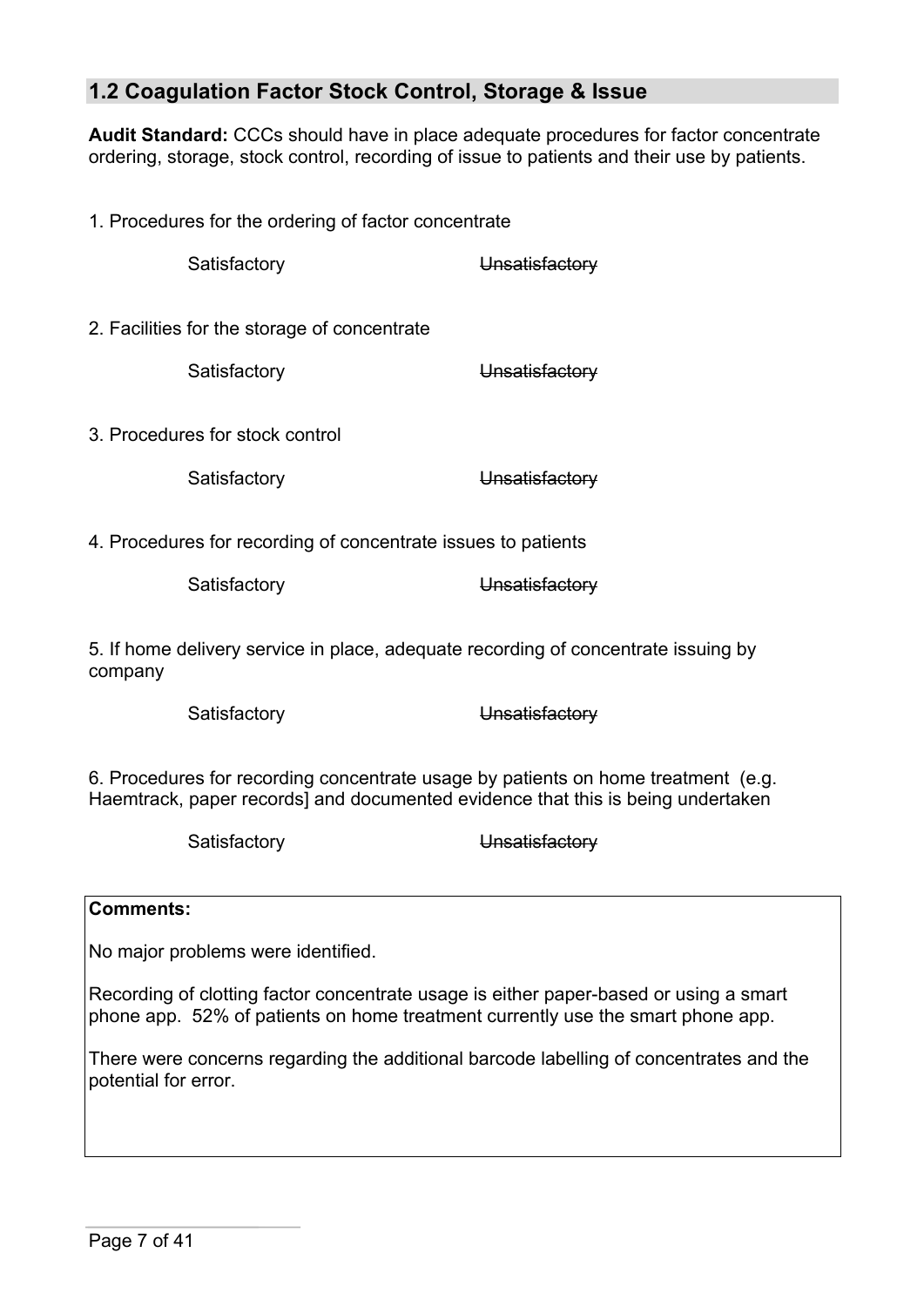## **1.2 Coagulation Factor Stock Control, Storage & Issue**

**Audit Standard:** CCCs should have in place adequate procedures for factor concentrate ordering, storage, stock control, recording of issue to patients and their use by patients.

1. Procedures for the ordering of factor concentrate Satisfactory **Unsatisfactory** 2. Facilities for the storage of concentrate Satisfactory **Unsatisfactory** 3. Procedures for stock control Satisfactory **Unsatisfactory** 4. Procedures for recording of concentrate issues to patients Satisfactory **Unsatisfactory** 5. If home delivery service in place, adequate recording of concentrate issuing by company Satisfactory **Unsatisfactory** 

6. Procedures for recording concentrate usage by patients on home treatment (e.g. Haemtrack, paper records] and documented evidence that this is being undertaken

Satisfactory **Unsatisfactory** 

#### **Comments:**

No major problems were identified.

Recording of clotting factor concentrate usage is either paper-based or using a smart phone app. 52% of patients on home treatment currently use the smart phone app.

There were concerns regarding the additional barcode labelling of concentrates and the potential for error.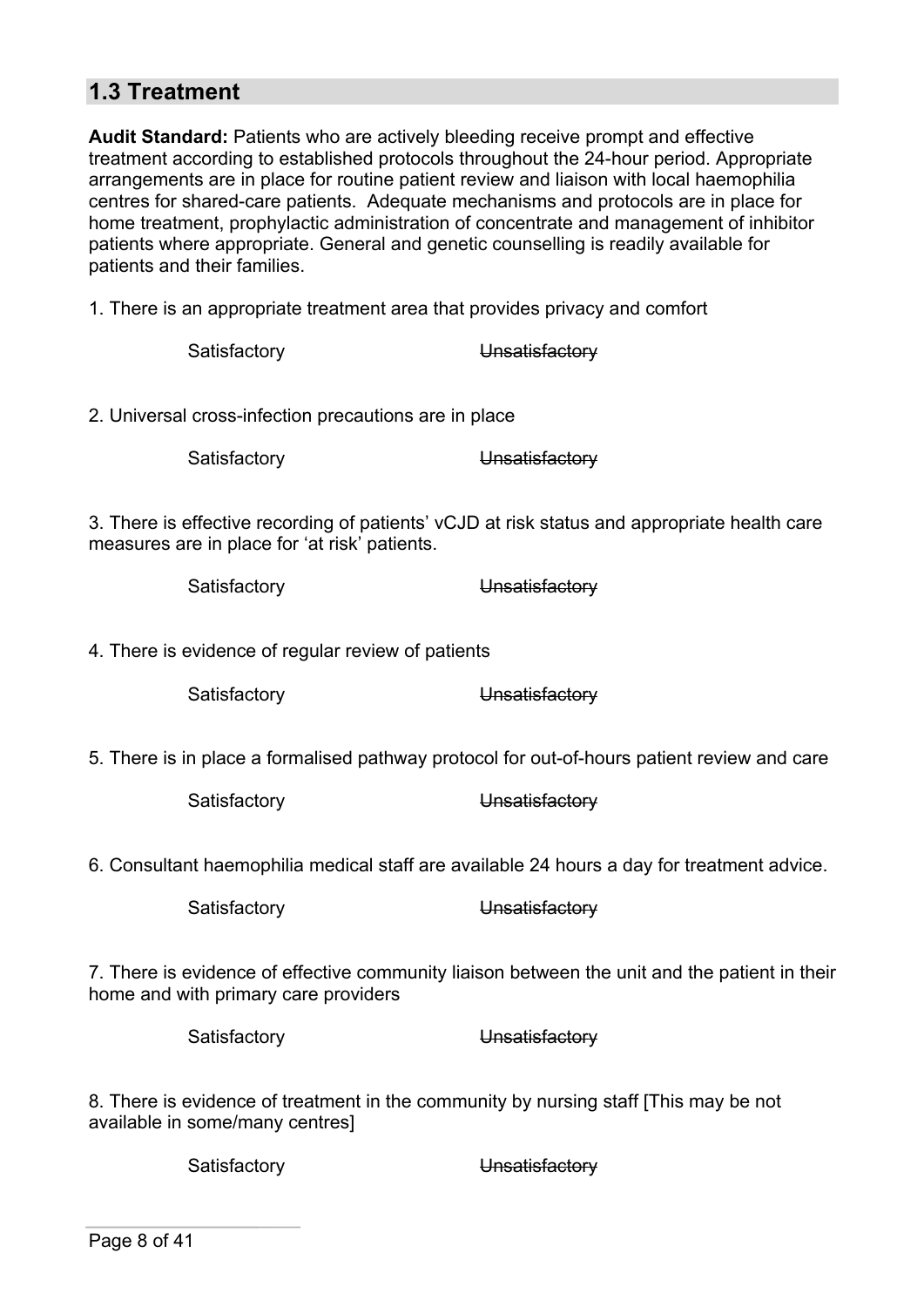## **1.3 Treatment**

**Audit Standard:** Patients who are actively bleeding receive prompt and effective treatment according to established protocols throughout the 24-hour period. Appropriate arrangements are in place for routine patient review and liaison with local haemophilia centres for shared-care patients. Adequate mechanisms and protocols are in place for home treatment, prophylactic administration of concentrate and management of inhibitor patients where appropriate. General and genetic counselling is readily available for patients and their families.

1. There is an appropriate treatment area that provides privacy and comfort

| Satisfactory                                          | Unsatisfactory                                                                                |
|-------------------------------------------------------|-----------------------------------------------------------------------------------------------|
| 2. Universal cross-infection precautions are in place |                                                                                               |
| Satisfactory                                          | Unsatisfactory                                                                                |
| measures are in place for 'at risk' patients.         | 3. There is effective recording of patients' vCJD at risk status and appropriate health care  |
| Satisfactory                                          | Unsatisfactory                                                                                |
| 4. There is evidence of regular review of patients    |                                                                                               |
| Satisfactory                                          | Unsatisfactory                                                                                |
|                                                       | 5. There is in place a formalised pathway protocol for out-of-hours patient review and care   |
| Satisfactory                                          | Unsatisfactory                                                                                |
|                                                       | 6. Consultant haemophilia medical staff are available 24 hours a day for treatment advice.    |
| Satisfactory                                          | Unsatisfactory                                                                                |
| home and with primary care providers                  | 7. There is evidence of effective community liaison between the unit and the patient in their |
| Satisfactory                                          | Unsatisfactory                                                                                |
| availahle in some/many centres].                      | 8. There is evidence of treatment in the community by nursing staff [This may be not          |

available in some/many centres]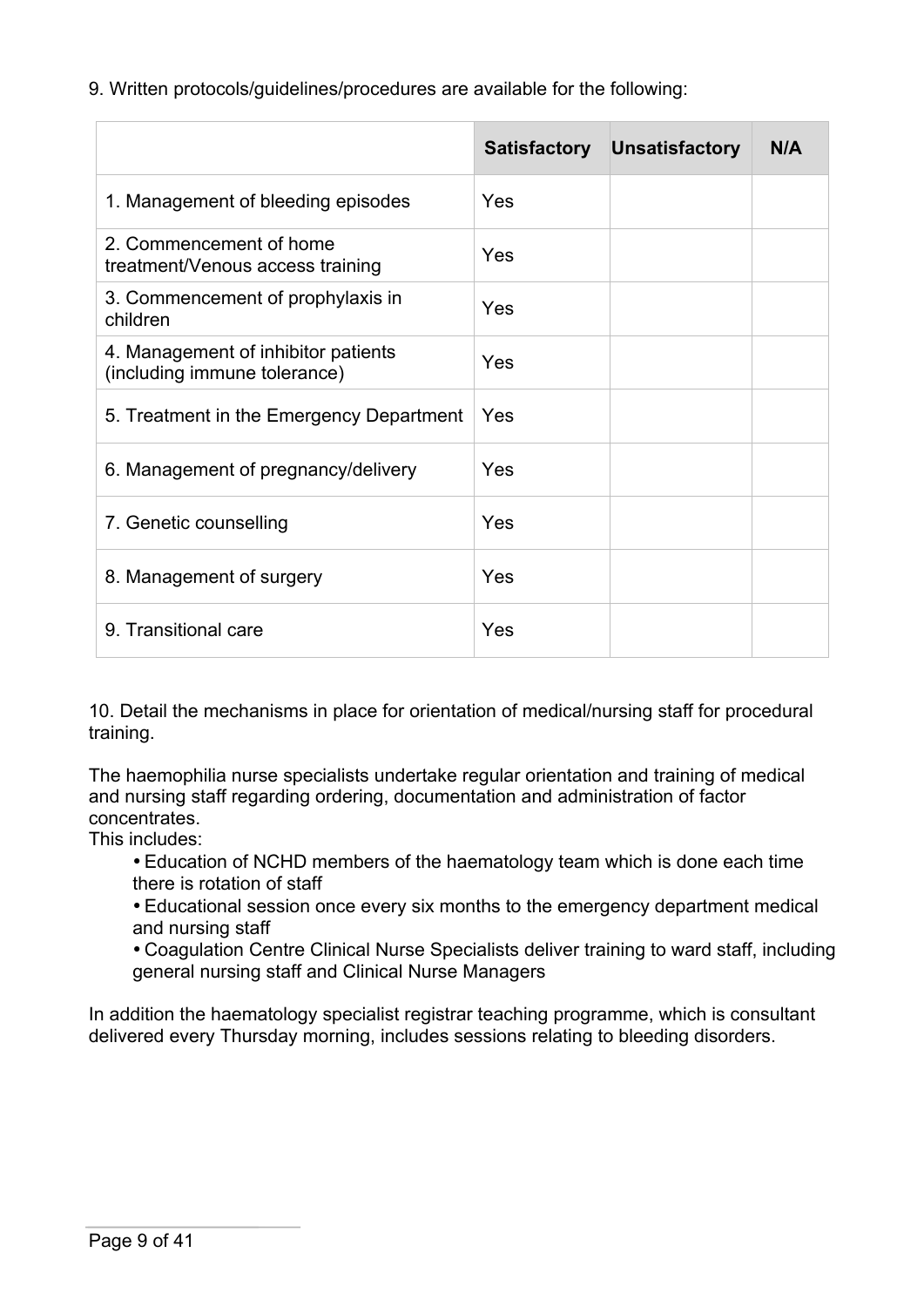9. Written protocols/guidelines/procedures are available for the following:

|                                                                     | <b>Satisfactory</b> | <b>Unsatisfactory</b> | N/A |
|---------------------------------------------------------------------|---------------------|-----------------------|-----|
| 1. Management of bleeding episodes                                  | Yes                 |                       |     |
| 2. Commencement of home<br>treatment/Venous access training         | Yes                 |                       |     |
| 3. Commencement of prophylaxis in<br>children                       | Yes                 |                       |     |
| 4. Management of inhibitor patients<br>(including immune tolerance) | Yes                 |                       |     |
| 5. Treatment in the Emergency Department                            | Yes                 |                       |     |
| 6. Management of pregnancy/delivery                                 | Yes                 |                       |     |
| 7. Genetic counselling                                              | Yes                 |                       |     |
| 8. Management of surgery                                            | Yes                 |                       |     |
| 9. Transitional care                                                | Yes                 |                       |     |

10. Detail the mechanisms in place for orientation of medical/nursing staff for procedural training.

The haemophilia nurse specialists undertake regular orientation and training of medical and nursing staff regarding ordering, documentation and administration of factor concentrates.

This includes:

- Education of NCHD members of the haematology team which is done each time there is rotation of staff
- Educational session once every six months to the emergency department medical and nursing staff
- Coagulation Centre Clinical Nurse Specialists deliver training to ward staff, including general nursing staff and Clinical Nurse Managers

In addition the haematology specialist registrar teaching programme, which is consultant delivered every Thursday morning, includes sessions relating to bleeding disorders.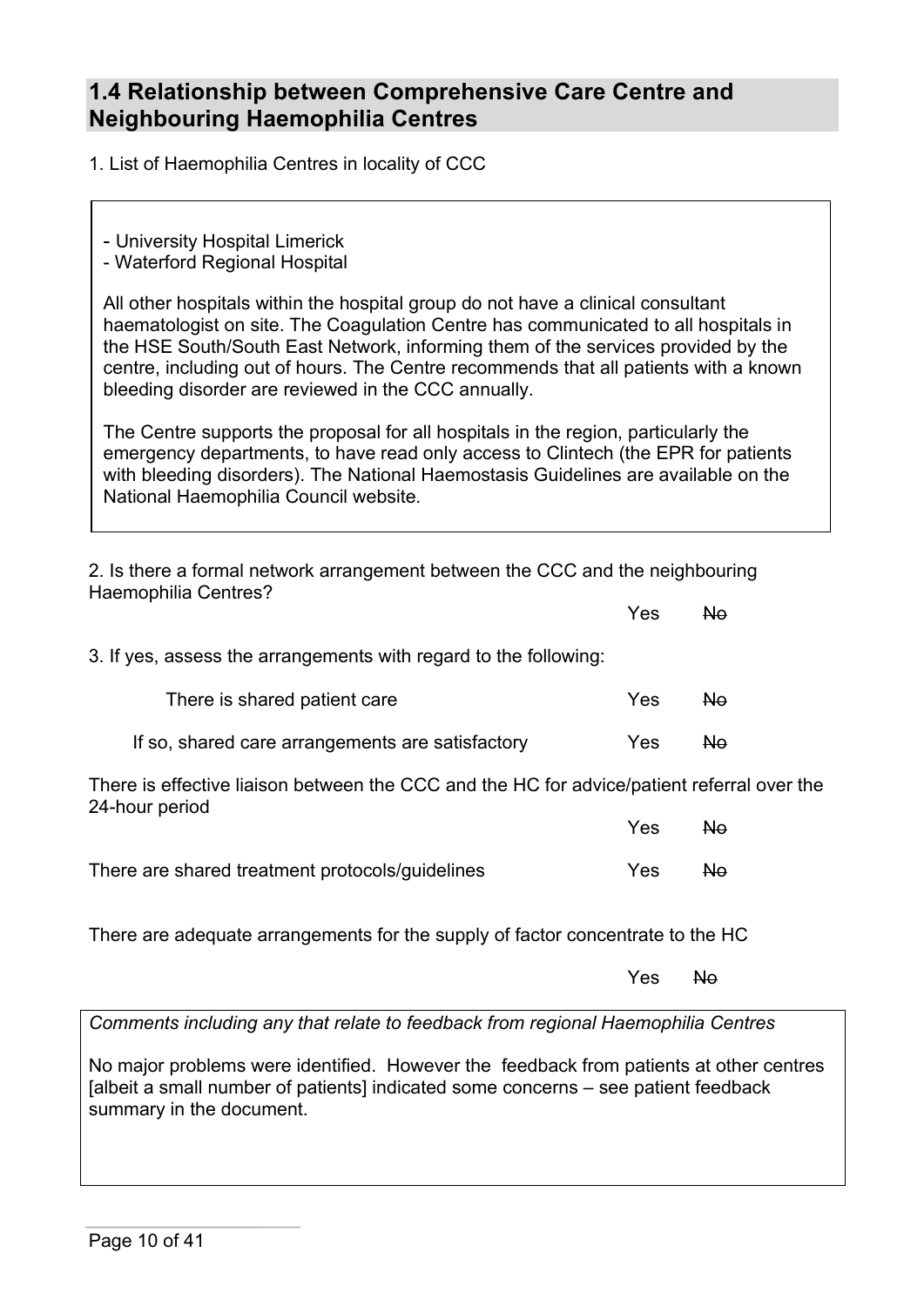## **1.4 Relationship between Comprehensive Care Centre and Neighbouring Haemophilia Centres**

1. List of Haemophilia Centres in locality of CCC

- University Hospital Limerick

- Waterford Regional Hospital

All other hospitals within the hospital group do not have a clinical consultant haematologist on site. The Coagulation Centre has communicated to all hospitals in the HSE South/South East Network, informing them of the services provided by the centre, including out of hours. The Centre recommends that all patients with a known bleeding disorder are reviewed in the CCC annually.

The Centre supports the proposal for all hospitals in the region, particularly the emergency departments, to have read only access to Clintech (the EPR for patients with bleeding disorders). The National Haemostasis Guidelines are available on the National Haemophilia Council website.

2. Is there a formal network arrangement between the CCC and the neighbouring Haemophilia Centres?

| Yes <del>No</del> |  |
|-------------------|--|
|                   |  |

3. If yes, assess the arrangements with regard to the following:

| There is shared patient care                     | Yes. | - No |
|--------------------------------------------------|------|------|
| If so, shared care arrangements are satisfactory | Yes. | No.  |

There is effective liaison between the CCC and the HC for advice/patient referral over the 24-hour period

|                                                 | Yes  | a No |
|-------------------------------------------------|------|------|
| There are shared treatment protocols/guidelines | Yes. | - No |

There are adequate arrangements for the supply of factor concentrate to the HC

Yes No

*Comments including any that relate to feedback from regional Haemophilia Centres*

No major problems were identified. However the feedback from patients at other centres [albeit a small number of patients] indicated some concerns – see patient feedback summary in the document.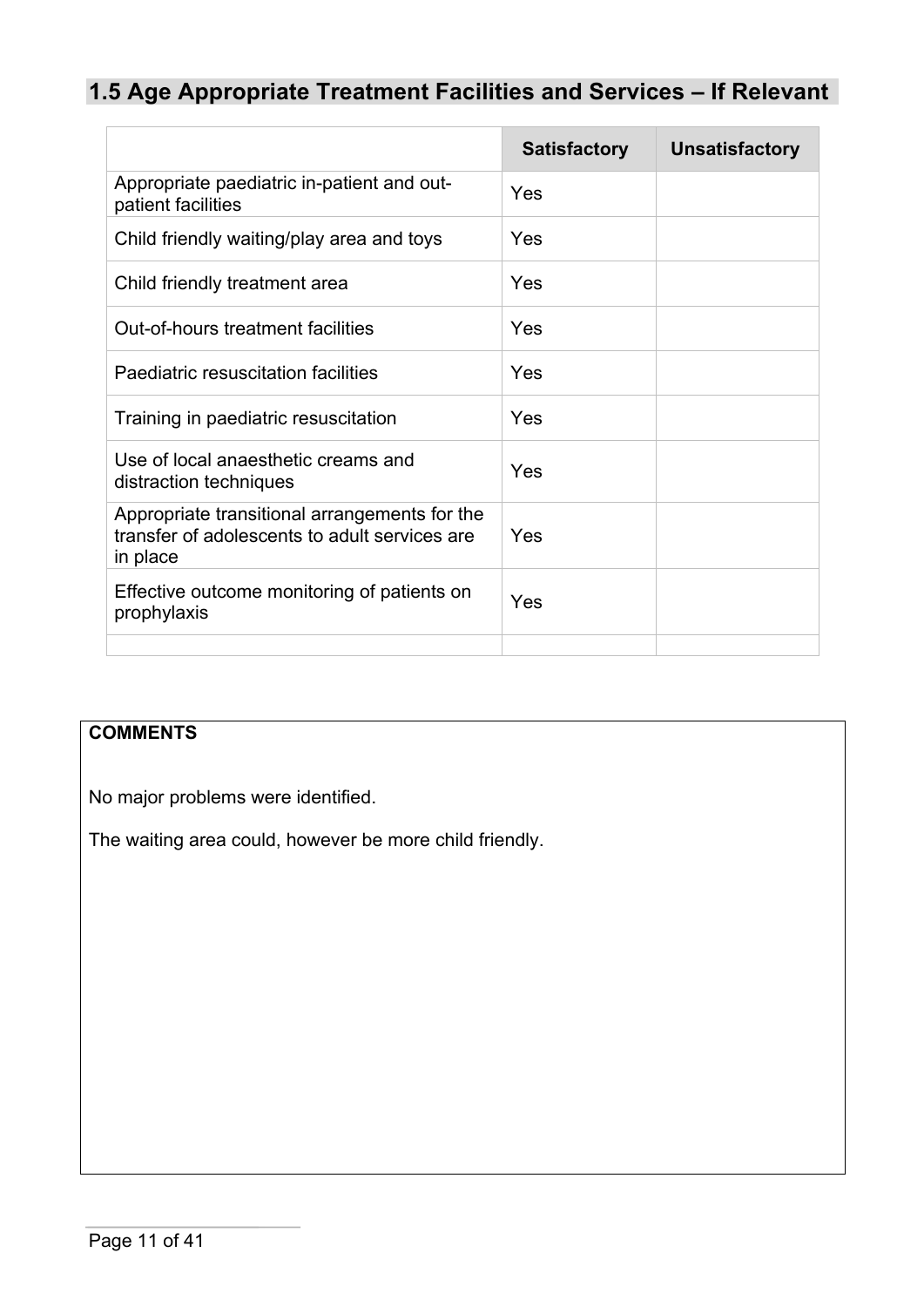# **1.5 Age Appropriate Treatment Facilities and Services – If Relevant**

|                                                                                                            | <b>Satisfactory</b> | <b>Unsatisfactory</b> |
|------------------------------------------------------------------------------------------------------------|---------------------|-----------------------|
| Appropriate paediatric in-patient and out-<br>patient facilities                                           | Yes                 |                       |
| Child friendly waiting/play area and toys                                                                  | Yes                 |                       |
| Child friendly treatment area                                                                              | Yes                 |                       |
| Out-of-hours treatment facilities                                                                          | Yes                 |                       |
| Paediatric resuscitation facilities                                                                        | Yes                 |                       |
| Training in paediatric resuscitation                                                                       | Yes                 |                       |
| Use of local anaesthetic creams and<br>distraction techniques                                              | Yes                 |                       |
| Appropriate transitional arrangements for the<br>transfer of adolescents to adult services are<br>in place | Yes                 |                       |
| Effective outcome monitoring of patients on<br>prophylaxis                                                 | Yes                 |                       |
|                                                                                                            |                     |                       |

# **COMMENTS**

No major problems were identified.

The waiting area could, however be more child friendly.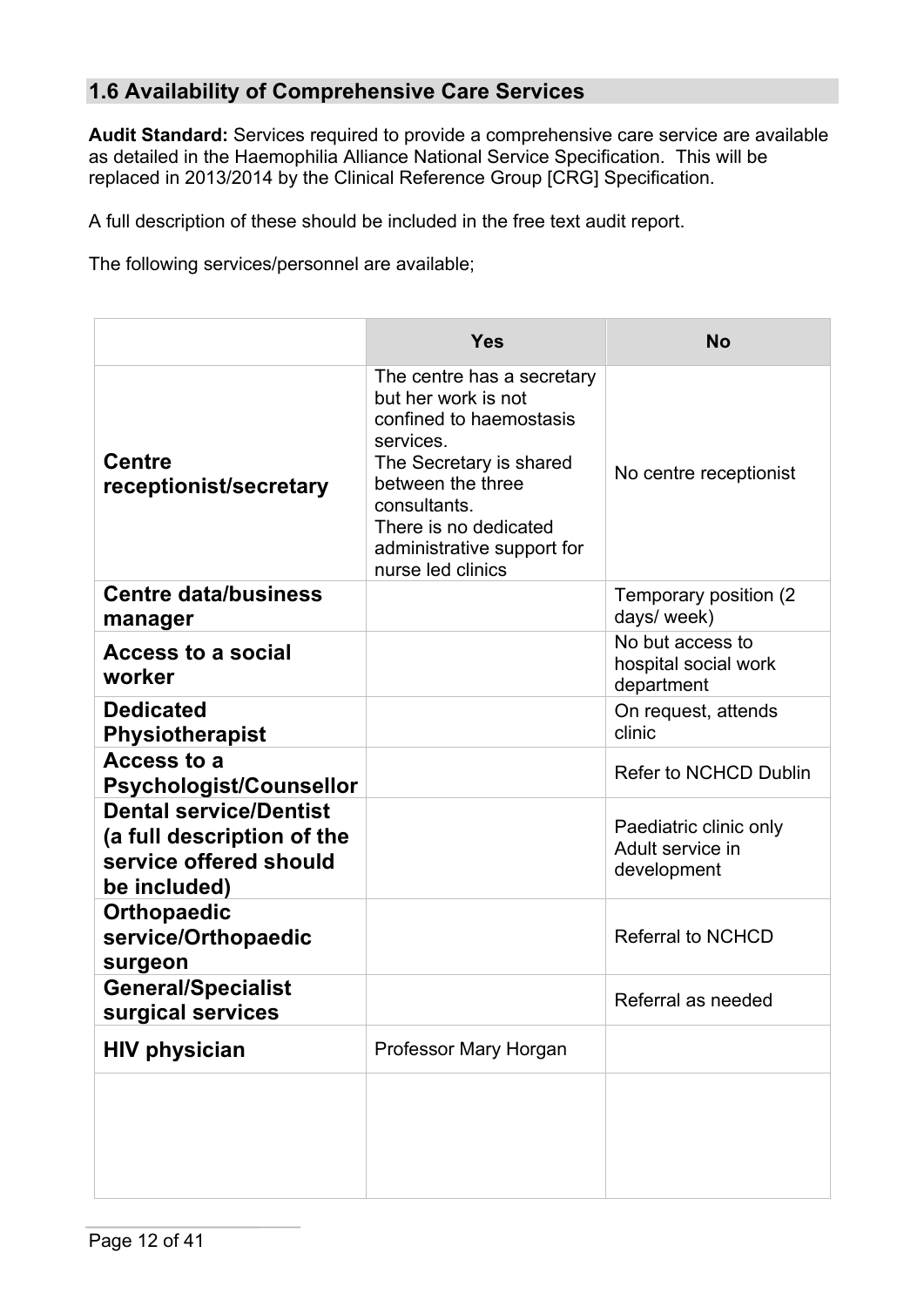## **1.6 Availability of Comprehensive Care Services**

**Audit Standard:** Services required to provide a comprehensive care service are available as detailed in the Haemophilia Alliance National Service Specification. This will be replaced in 2013/2014 by the Clinical Reference Group [CRG] Specification.

A full description of these should be included in the free text audit report.

The following services/personnel are available;

|                                                                                                       | <b>Yes</b>                                                                                                                                                                                                                            | <b>No</b>                                                 |
|-------------------------------------------------------------------------------------------------------|---------------------------------------------------------------------------------------------------------------------------------------------------------------------------------------------------------------------------------------|-----------------------------------------------------------|
| <b>Centre</b><br>receptionist/secretary                                                               | The centre has a secretary<br>but her work is not<br>confined to haemostasis<br>services.<br>The Secretary is shared<br>between the three<br>consultants.<br>There is no dedicated<br>administrative support for<br>nurse led clinics | No centre receptionist                                    |
| <b>Centre data/business</b><br>manager                                                                |                                                                                                                                                                                                                                       | Temporary position (2)<br>days/ week)                     |
| <b>Access to a social</b><br>worker                                                                   |                                                                                                                                                                                                                                       | No but access to<br>hospital social work<br>department    |
| <b>Dedicated</b><br><b>Physiotherapist</b>                                                            |                                                                                                                                                                                                                                       | On request, attends<br>clinic                             |
| <b>Access to a</b><br><b>Psychologist/Counsellor</b>                                                  |                                                                                                                                                                                                                                       | Refer to NCHCD Dublin                                     |
| <b>Dental service/Dentist</b><br>(a full description of the<br>service offered should<br>be included) |                                                                                                                                                                                                                                       | Paediatric clinic only<br>Adult service in<br>development |
| <b>Orthopaedic</b><br>service/Orthopaedic<br>surgeon                                                  |                                                                                                                                                                                                                                       | <b>Referral to NCHCD</b>                                  |
| <b>General/Specialist</b><br>surgical services                                                        |                                                                                                                                                                                                                                       | Referral as needed                                        |
| <b>HIV physician</b>                                                                                  | Professor Mary Horgan                                                                                                                                                                                                                 |                                                           |
|                                                                                                       |                                                                                                                                                                                                                                       |                                                           |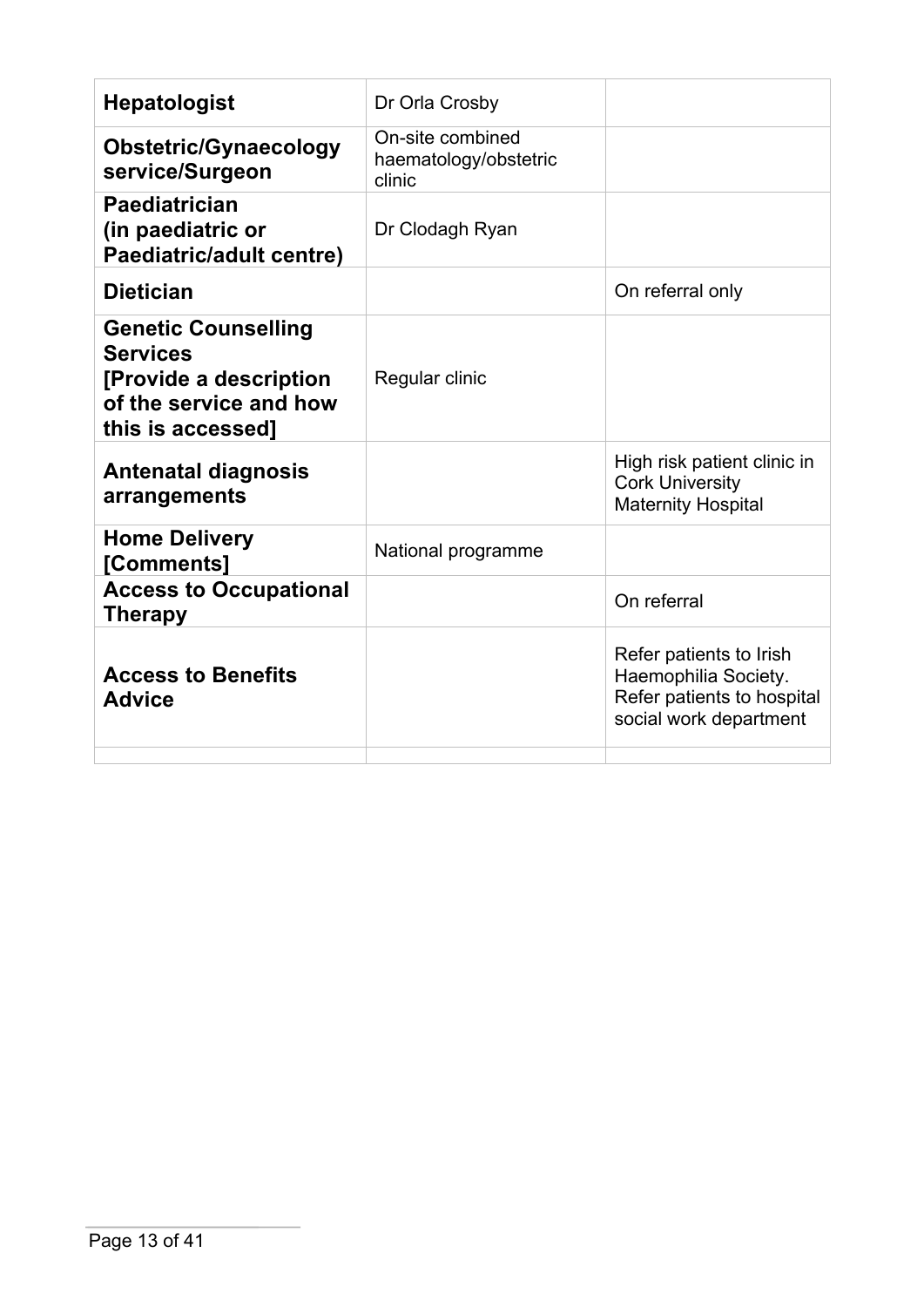| <b>Hepatologist</b>                                                                                                     | Dr Orla Crosby                                      |                                                                                                         |
|-------------------------------------------------------------------------------------------------------------------------|-----------------------------------------------------|---------------------------------------------------------------------------------------------------------|
| <b>Obstetric/Gynaecology</b><br>service/Surgeon                                                                         | On-site combined<br>haematology/obstetric<br>clinic |                                                                                                         |
| <b>Paediatrician</b><br>(in paediatric or<br><b>Paediatric/adult centre)</b>                                            | Dr Clodagh Ryan                                     |                                                                                                         |
| <b>Dietician</b>                                                                                                        |                                                     | On referral only                                                                                        |
| <b>Genetic Counselling</b><br><b>Services</b><br>[Provide a description]<br>of the service and how<br>this is accessed] | Regular clinic                                      |                                                                                                         |
| <b>Antenatal diagnosis</b><br>arrangements                                                                              |                                                     | High risk patient clinic in<br><b>Cork University</b><br><b>Maternity Hospital</b>                      |
| <b>Home Delivery</b><br>[Comments]                                                                                      | National programme                                  |                                                                                                         |
| <b>Access to Occupational</b><br><b>Therapy</b>                                                                         |                                                     | On referral                                                                                             |
| <b>Access to Benefits</b><br><b>Advice</b>                                                                              |                                                     | Refer patients to Irish<br>Haemophilia Society.<br>Refer patients to hospital<br>social work department |
|                                                                                                                         |                                                     |                                                                                                         |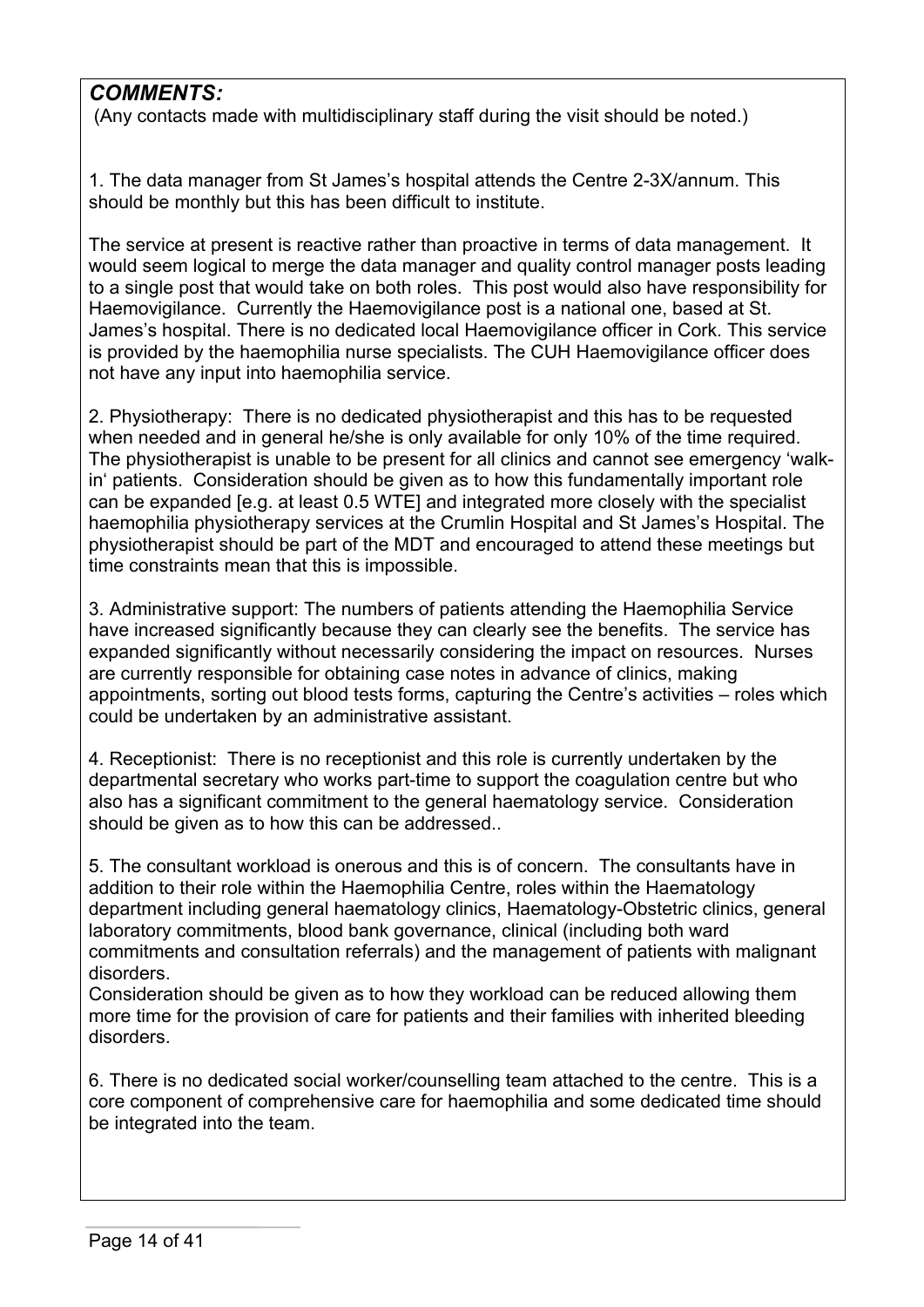## *COMMENTS:*

(Any contacts made with multidisciplinary staff during the visit should be noted.)

1. The data manager from St James's hospital attends the Centre 2-3X/annum. This should be monthly but this has been difficult to institute.

The service at present is reactive rather than proactive in terms of data management. It would seem logical to merge the data manager and quality control manager posts leading to a single post that would take on both roles. This post would also have responsibility for Haemovigilance. Currently the Haemovigilance post is a national one, based at St. James's hospital. There is no dedicated local Haemovigilance officer in Cork. This service is provided by the haemophilia nurse specialists. The CUH Haemovigilance officer does not have any input into haemophilia service.

2. Physiotherapy: There is no dedicated physiotherapist and this has to be requested when needed and in general he/she is only available for only 10% of the time required. The physiotherapist is unable to be present for all clinics and cannot see emergency 'walkin' patients. Consideration should be given as to how this fundamentally important role can be expanded [e.g. at least 0.5 WTE] and integrated more closely with the specialist haemophilia physiotherapy services at the Crumlin Hospital and St James's Hospital. The physiotherapist should be part of the MDT and encouraged to attend these meetings but time constraints mean that this is impossible.

3. Administrative support: The numbers of patients attending the Haemophilia Service have increased significantly because they can clearly see the benefits. The service has expanded significantly without necessarily considering the impact on resources. Nurses are currently responsible for obtaining case notes in advance of clinics, making appointments, sorting out blood tests forms, capturing the Centre's activities – roles which could be undertaken by an administrative assistant.

4. Receptionist: There is no receptionist and this role is currently undertaken by the departmental secretary who works part-time to support the coagulation centre but who also has a significant commitment to the general haematology service. Consideration should be given as to how this can be addressed..

5. The consultant workload is onerous and this is of concern. The consultants have in addition to their role within the Haemophilia Centre, roles within the Haematology department including general haematology clinics, Haematology-Obstetric clinics, general laboratory commitments, blood bank governance, clinical (including both ward commitments and consultation referrals) and the management of patients with malignant disorders.

Consideration should be given as to how they workload can be reduced allowing them more time for the provision of care for patients and their families with inherited bleeding disorders.

6. There is no dedicated social worker/counselling team attached to the centre. This is a core component of comprehensive care for haemophilia and some dedicated time should be integrated into the team.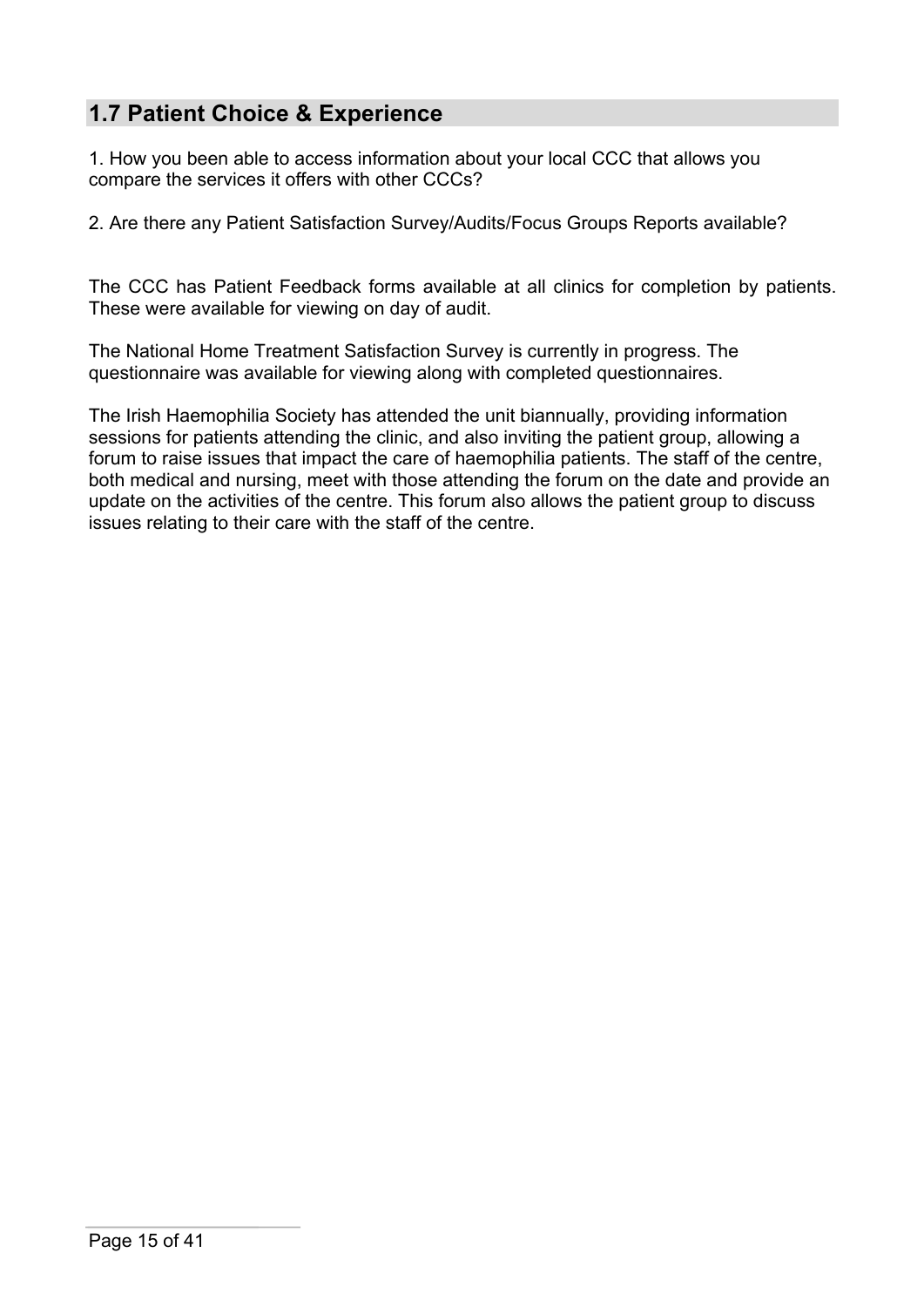## **1.7 Patient Choice & Experience**

1. How you been able to access information about your local CCC that allows you compare the services it offers with other CCCs?

2. Are there any Patient Satisfaction Survey/Audits/Focus Groups Reports available?

The CCC has Patient Feedback forms available at all clinics for completion by patients. These were available for viewing on day of audit.

The National Home Treatment Satisfaction Survey is currently in progress. The questionnaire was available for viewing along with completed questionnaires.

The Irish Haemophilia Society has attended the unit biannually, providing information sessions for patients attending the clinic, and also inviting the patient group, allowing a forum to raise issues that impact the care of haemophilia patients. The staff of the centre, both medical and nursing, meet with those attending the forum on the date and provide an update on the activities of the centre. This forum also allows the patient group to discuss issues relating to their care with the staff of the centre.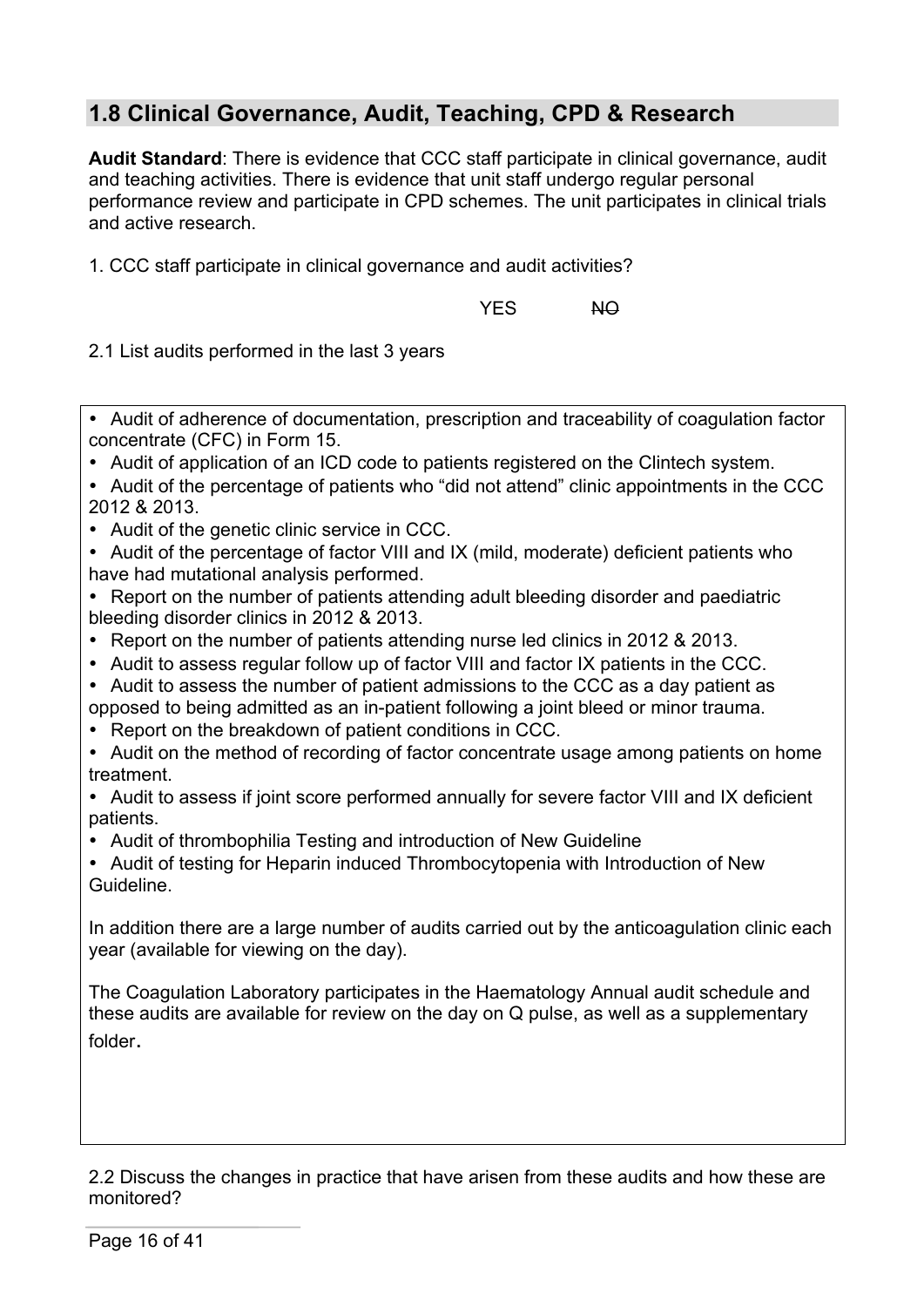# **1.8 Clinical Governance, Audit, Teaching, CPD & Research**

**Audit Standard**: There is evidence that CCC staff participate in clinical governance, audit and teaching activities. There is evidence that unit staff undergo regular personal performance review and participate in CPD schemes. The unit participates in clinical trials and active research.

1. CCC staff participate in clinical governance and audit activities?

YES NO

2.1 List audits performed in the last 3 years

• Audit of adherence of documentation, prescription and traceability of coagulation factor concentrate (CFC) in Form 15.

• Audit of application of an ICD code to patients registered on the Clintech system.

- Audit of the percentage of patients who "did not attend" clinic appointments in the CCC 2012 & 2013.
- Audit of the genetic clinic service in CCC.

• Audit of the percentage of factor VIII and IX (mild, moderate) deficient patients who have had mutational analysis performed.

• Report on the number of patients attending adult bleeding disorder and paediatric bleeding disorder clinics in 2012 & 2013.

- Report on the number of patients attending nurse led clinics in 2012 & 2013.
- Audit to assess regular follow up of factor VIII and factor IX patients in the CCC.
- Audit to assess the number of patient admissions to the CCC as a day patient as opposed to being admitted as an in-patient following a joint bleed or minor trauma.
- Report on the breakdown of patient conditions in CCC.

• Audit on the method of recording of factor concentrate usage among patients on home treatment.

• Audit to assess if joint score performed annually for severe factor VIII and IX deficient patients.

• Audit of thrombophilia Testing and introduction of New Guideline

• Audit of testing for Heparin induced Thrombocytopenia with Introduction of New Guideline.

In addition there are a large number of audits carried out by the anticoagulation clinic each year (available for viewing on the day).

The Coagulation Laboratory participates in the Haematology Annual audit schedule and these audits are available for review on the day on Q pulse, as well as a supplementary folder.

2.2 Discuss the changes in practice that have arisen from these audits and how these are monitored?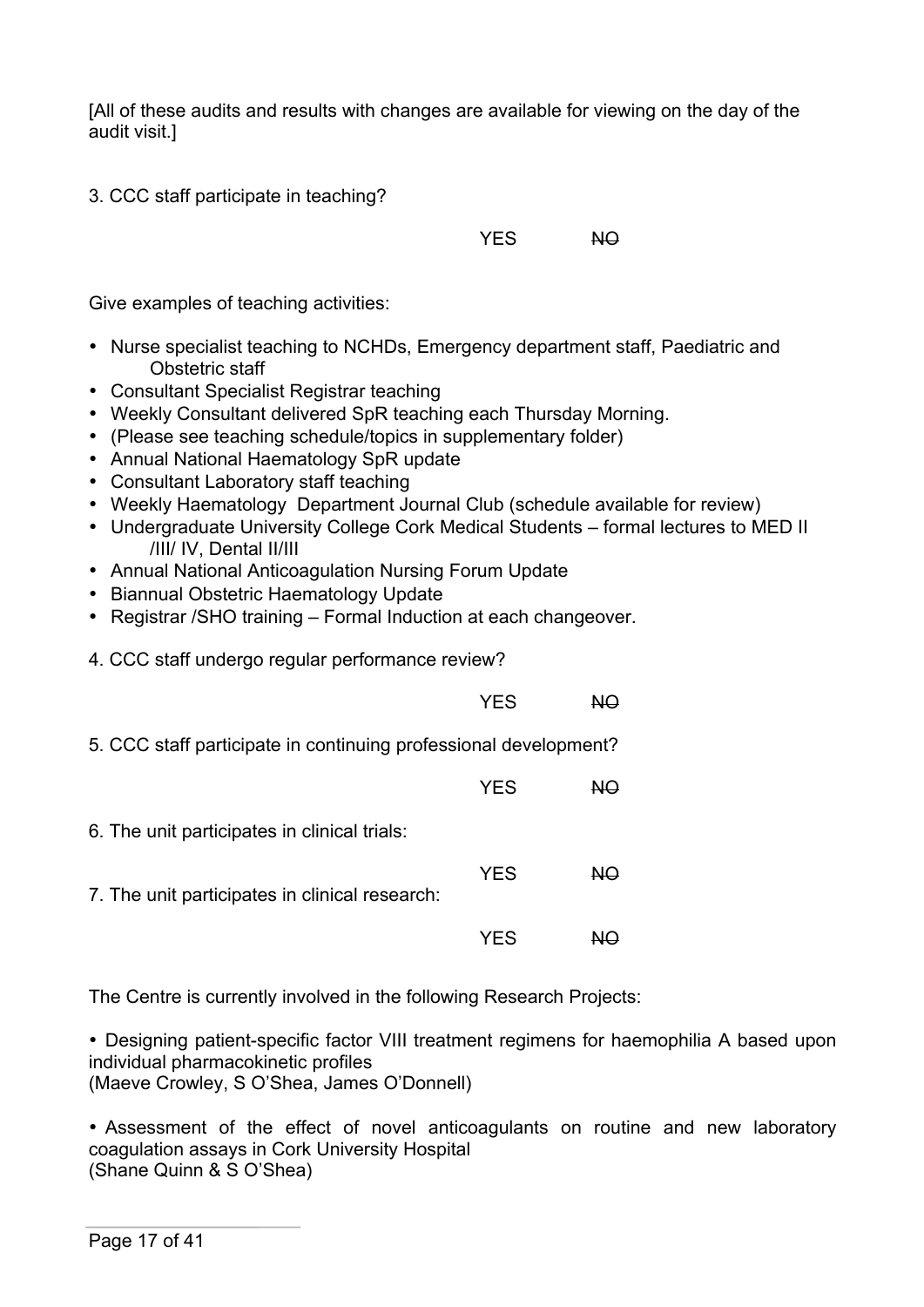[All of these audits and results with changes are available for viewing on the day of the audit visit.]

3. CCC staff participate in teaching?

YES NO

Give examples of teaching activities:

- Nurse specialist teaching to NCHDs, Emergency department staff, Paediatric and Obstetric staff
- Consultant Specialist Registrar teaching
- Weekly Consultant delivered SpR teaching each Thursday Morning.
- (Please see teaching schedule/topics in supplementary folder)
- Annual National Haematology SpR update
- Consultant Laboratory staff teaching
- Weekly Haematology Department Journal Club (schedule available for review)
- Undergraduate University College Cork Medical Students formal lectures to MED II /III/ IV, Dental II/III
- Annual National Anticoagulation Nursing Forum Update
- Biannual Obstetric Haematology Update
- Registrar /SHO training Formal Induction at each changeover.
- 4. CCC staff undergo regular performance review?

YFS NO 5. CCC staff participate in continuing professional development? YES NO 6. The unit participates in clinical trials: YES NO 7. The unit participates in clinical research: YES NO

The Centre is currently involved in the following Research Projects:

• Designing patient-specific factor VIII treatment regimens for haemophilia A based upon individual pharmacokinetic profiles

(Maeve Crowley, S O'Shea, James O'Donnell)

• Assessment of the effect of novel anticoagulants on routine and new laboratory coagulation assays in Cork University Hospital (Shane Quinn & S O'Shea)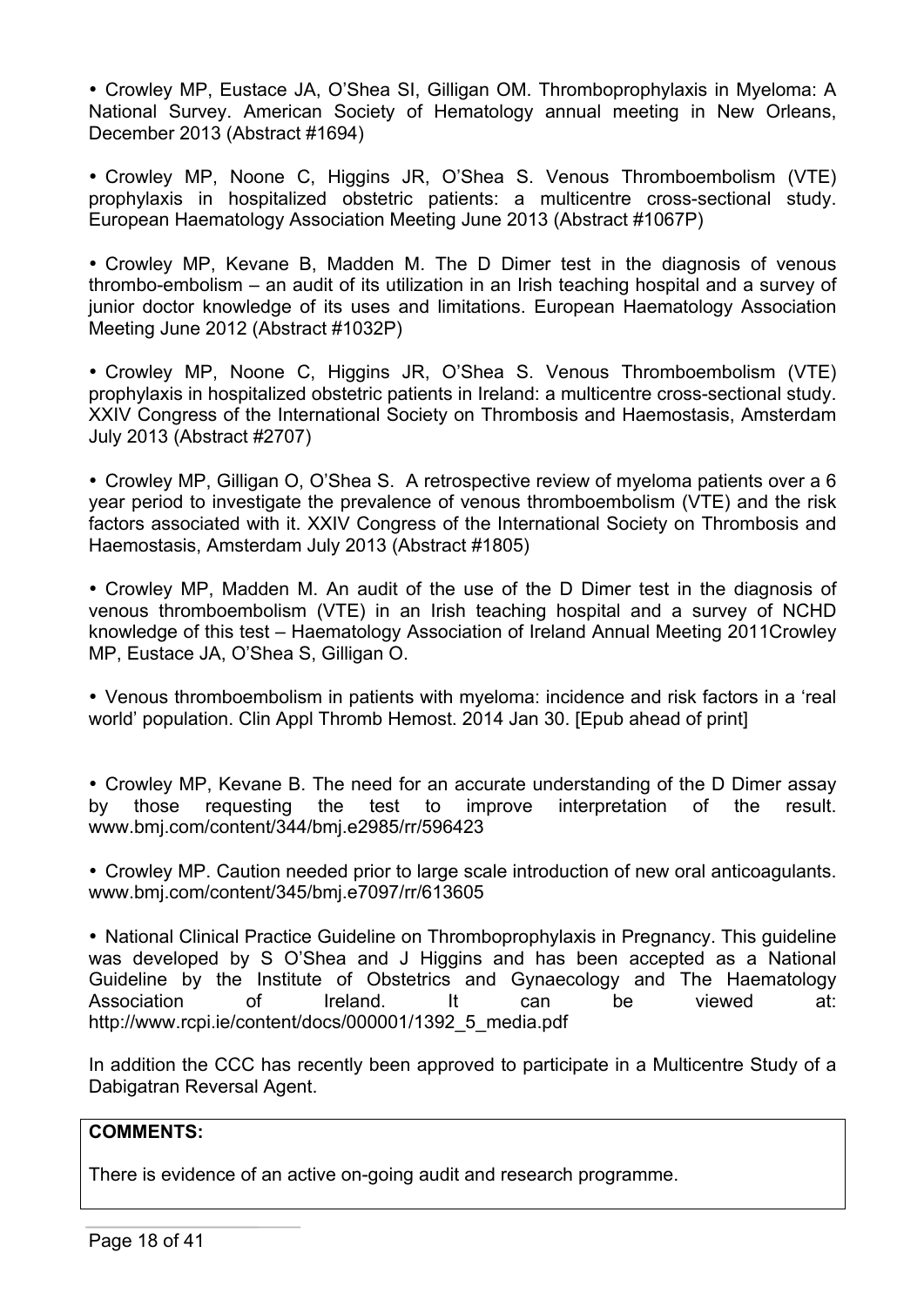• Crowley MP, Eustace JA, O'Shea SI, Gilligan OM. Thromboprophylaxis in Myeloma: A National Survey. American Society of Hematology annual meeting in New Orleans, December 2013 (Abstract #1694)

• Crowley MP, Noone C, Higgins JR, O'Shea S. Venous Thromboembolism (VTE) prophylaxis in hospitalized obstetric patients: a multicentre cross-sectional study. European Haematology Association Meeting June 2013 (Abstract #1067P)

• Crowley MP, Kevane B, Madden M. The D Dimer test in the diagnosis of venous thrombo-embolism – an audit of its utilization in an Irish teaching hospital and a survey of junior doctor knowledge of its uses and limitations. European Haematology Association Meeting June 2012 (Abstract #1032P)

• Crowley MP, Noone C, Higgins JR, O'Shea S. Venous Thromboembolism (VTE) prophylaxis in hospitalized obstetric patients in Ireland: a multicentre cross-sectional study. XXIV Congress of the International Society on Thrombosis and Haemostasis, Amsterdam July 2013 (Abstract #2707)

• Crowley MP, Gilligan O, O'Shea S. A retrospective review of myeloma patients over a 6 year period to investigate the prevalence of venous thromboembolism (VTE) and the risk factors associated with it. XXIV Congress of the International Society on Thrombosis and Haemostasis, Amsterdam July 2013 (Abstract #1805)

• Crowley MP, Madden M. An audit of the use of the D Dimer test in the diagnosis of venous thromboembolism (VTE) in an Irish teaching hospital and a survey of NCHD knowledge of this test – Haematology Association of Ireland Annual Meeting 2011Crowley MP, Eustace JA, O'Shea S, Gilligan O.

• Venous thromboembolism in patients with myeloma: incidence and risk factors in a 'real world' population. Clin Appl Thromb Hemost. 2014 Jan 30. [Epub ahead of print]

• Crowley MP, Kevane B. The need for an accurate understanding of the D Dimer assay<br>by those requesting the test to improve interpretation of the result. by those requesting the www.bmj.com/content/344/bmj.e2985/rr/596423

• Crowley MP. Caution needed prior to large scale introduction of new oral anticoagulants. www.bmj.com/content/345/bmj.e7097/rr/613605

• National Clinical Practice Guideline on Thromboprophylaxis in Pregnancy. This guideline was developed by S O'Shea and J Higgins and has been accepted as a National Guideline by the Institute of Obstetrics and Gynaecology and The Haematology Association of Ireland. It can be viewed at: http://www.rcpi.ie/content/docs/000001/1392\_5\_media.pdf

In addition the CCC has recently been approved to participate in a Multicentre Study of a Dabigatran Reversal Agent.

#### **COMMENTS:**

There is evidence of an active on-going audit and research programme.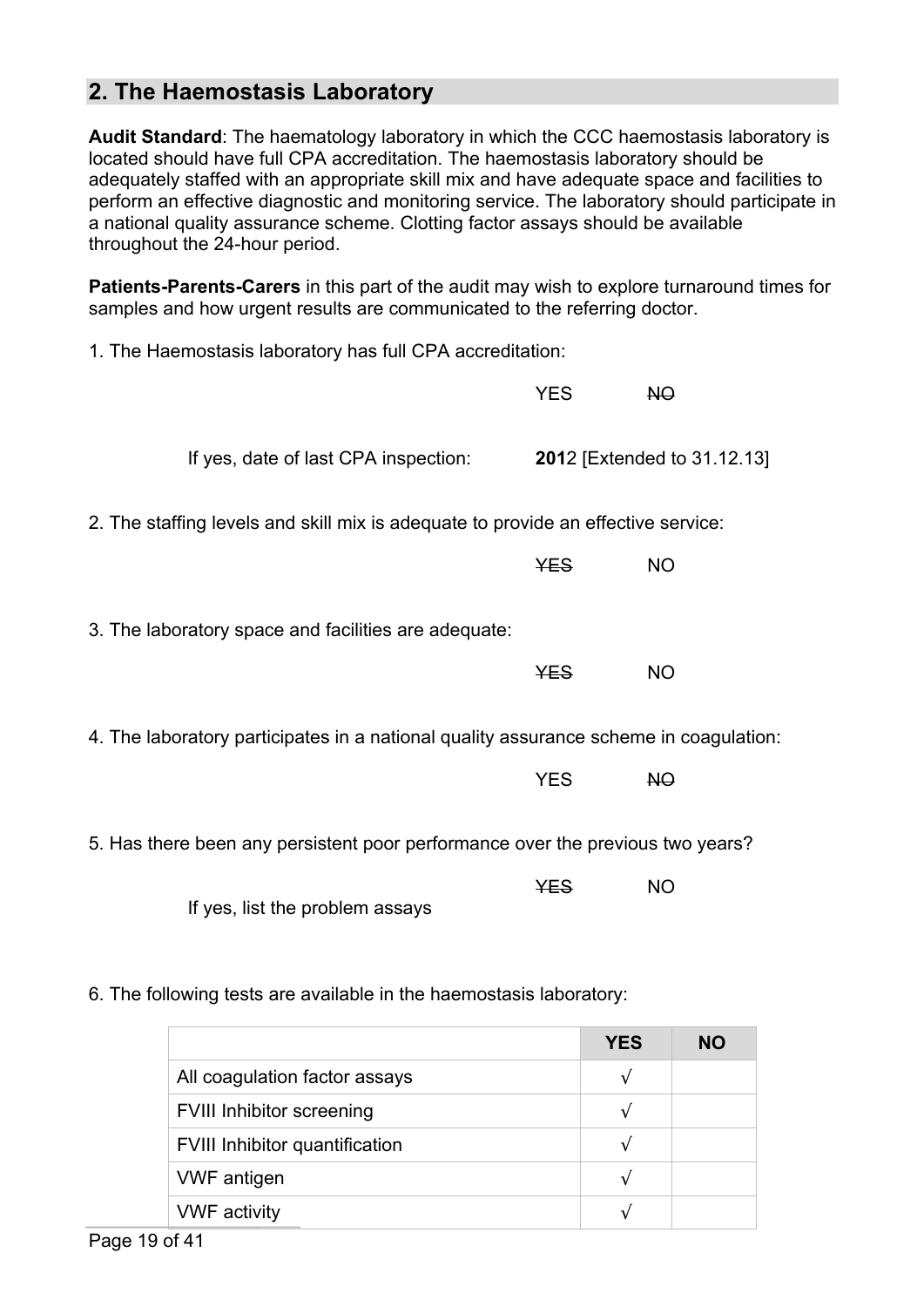## **2. The Haemostasis Laboratory**

**Audit Standard**: The haematology laboratory in which the CCC haemostasis laboratory is located should have full CPA accreditation. The haemostasis laboratory should be adequately staffed with an appropriate skill mix and have adequate space and facilities to perform an effective diagnostic and monitoring service. The laboratory should participate in a national quality assurance scheme. Clotting factor assays should be available throughout the 24-hour period.

**Patients-Parents-Carers** in this part of the audit may wish to explore turnaround times for samples and how urgent results are communicated to the referring doctor.

| 1. The Haemostasis laboratory has full CPA accreditation:                             |            |                                     |
|---------------------------------------------------------------------------------------|------------|-------------------------------------|
|                                                                                       | <b>YES</b> | NO                                  |
| If yes, date of last CPA inspection:                                                  |            | <b>201</b> 2 [Extended to 31.12.13] |
| 2. The staffing levels and skill mix is adequate to provide an effective service:     |            |                                     |
|                                                                                       | <b>YES</b> | <b>NO</b>                           |
| 3. The laboratory space and facilities are adequate:                                  |            |                                     |
|                                                                                       | <b>YES</b> | <b>NO</b>                           |
| 4. The laboratory participates in a national quality assurance scheme in coagulation: |            |                                     |
|                                                                                       | <b>YES</b> | NO                                  |
| 5. Has there been any persistent poor performance over the previous two years?        |            |                                     |
|                                                                                       | <b>YES</b> | <b>NO</b>                           |

6. The following tests are available in the haemostasis laboratory:

If yes, list the problem assays

|                                       | <b>YES</b> | <b>NO</b> |
|---------------------------------------|------------|-----------|
| All coagulation factor assays         |            |           |
| <b>FVIII Inhibitor screening</b>      |            |           |
| <b>FVIII Inhibitor quantification</b> |            |           |
| <b>VWF</b> antigen                    |            |           |
| <b>VWF</b> activity                   |            |           |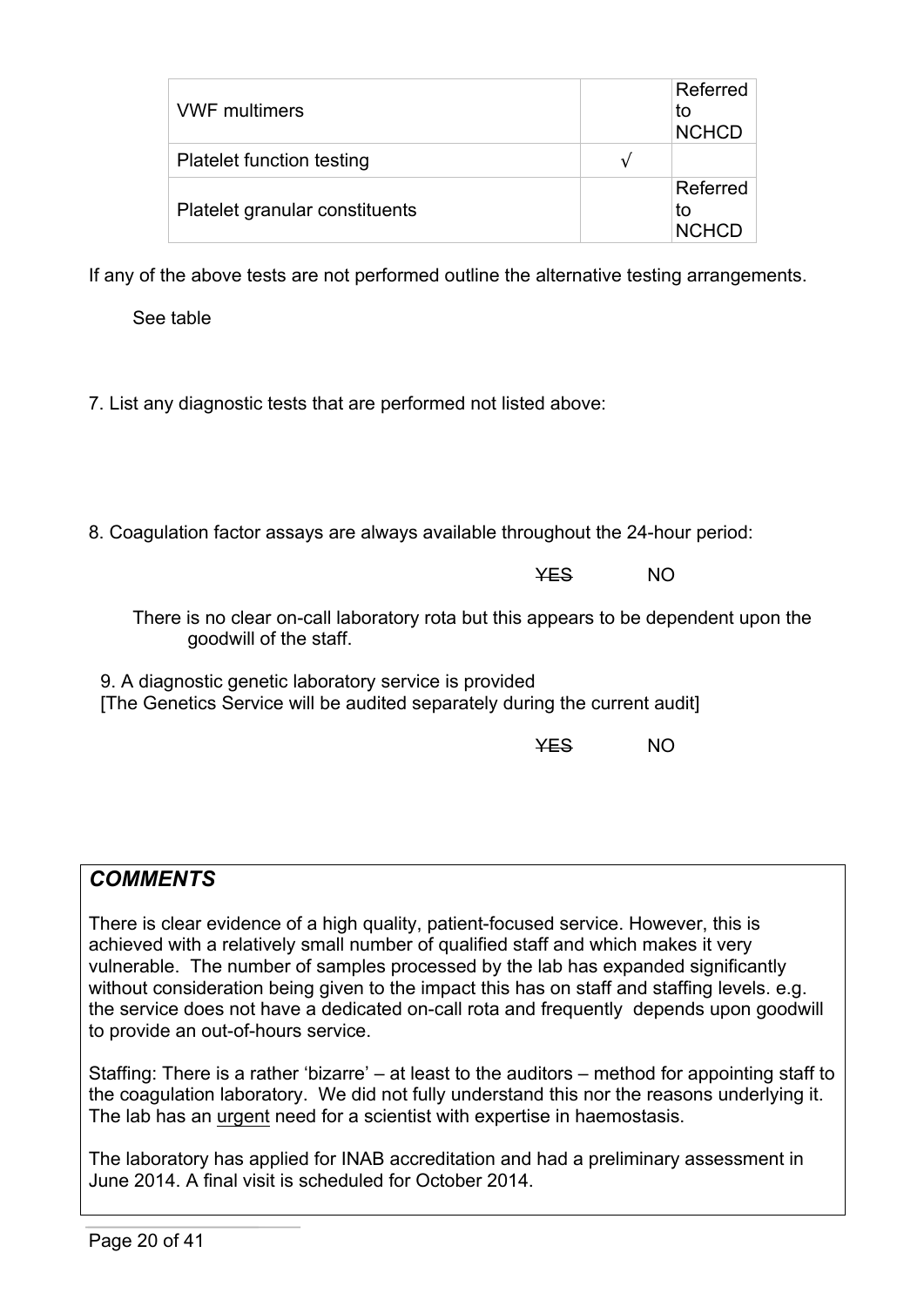| <b>VWF multimers</b>             |   | Referred<br>to<br><b>NCHCD</b> |
|----------------------------------|---|--------------------------------|
| <b>Platelet function testing</b> | v |                                |
| Platelet granular constituents   |   | Referred<br>to<br><b>NCHCD</b> |

If any of the above tests are not performed outline the alternative testing arrangements.

See table

7. List any diagnostic tests that are performed not listed above:

8. Coagulation factor assays are always available throughout the 24-hour period:

YES NO

There is no clear on-call laboratory rota but this appears to be dependent upon the goodwill of the staff.

9. A diagnostic genetic laboratory service is provided [The Genetics Service will be audited separately during the current audit]

YES NO

# *COMMENTS*

There is clear evidence of a high quality, patient-focused service. However, this is achieved with a relatively small number of qualified staff and which makes it very vulnerable. The number of samples processed by the lab has expanded significantly without consideration being given to the impact this has on staff and staffing levels. e.g. the service does not have a dedicated on-call rota and frequently depends upon goodwill to provide an out-of-hours service.

Staffing: There is a rather 'bizarre' – at least to the auditors – method for appointing staff to the coagulation laboratory. We did not fully understand this nor the reasons underlying it. The lab has an urgent need for a scientist with expertise in haemostasis.

The laboratory has applied for INAB accreditation and had a preliminary assessment in June 2014. A final visit is scheduled for October 2014.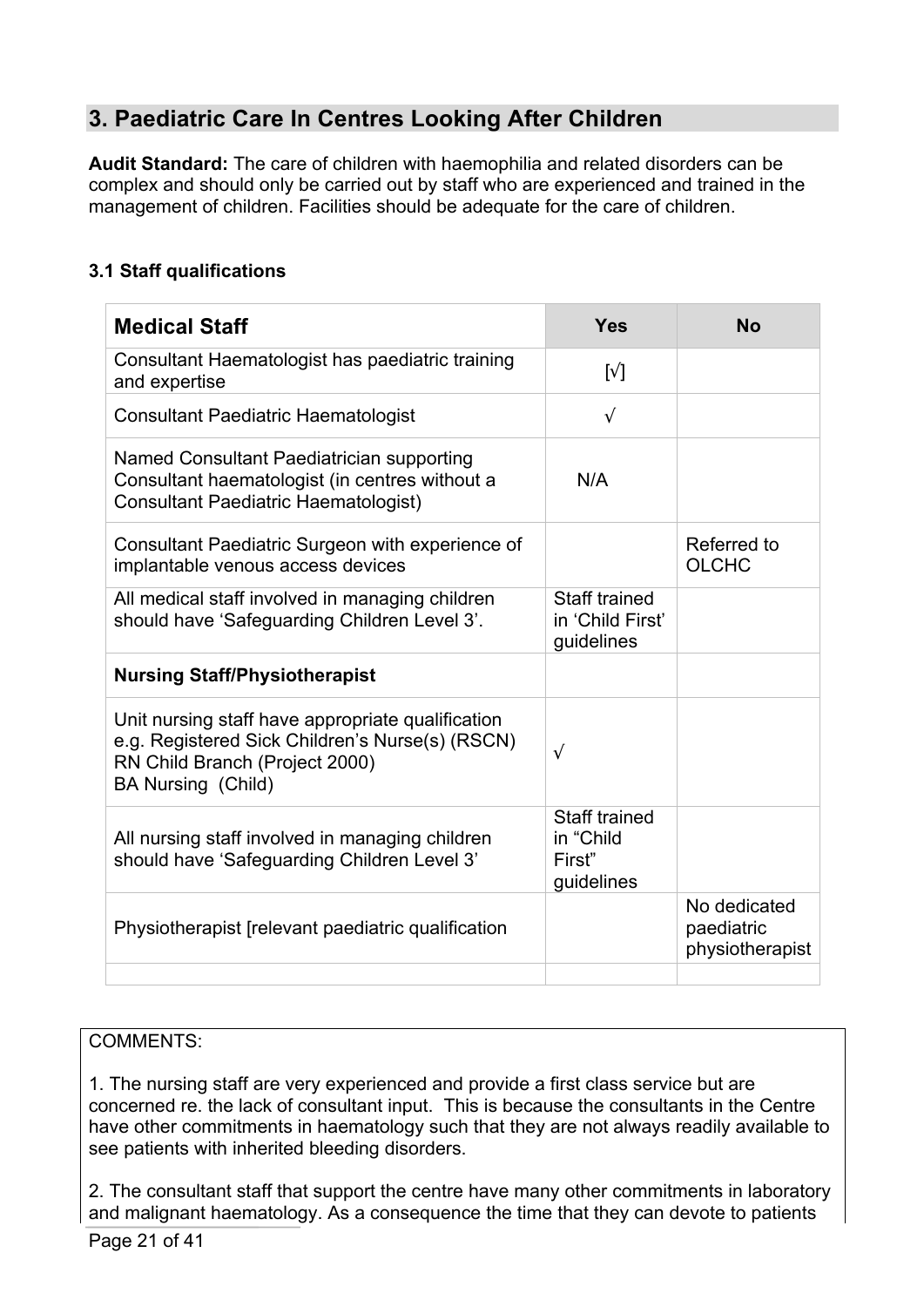# **3. Paediatric Care In Centres Looking After Children**

**Audit Standard:** The care of children with haemophilia and related disorders can be complex and should only be carried out by staff who are experienced and trained in the management of children. Facilities should be adequate for the care of children.

### **3.1 Staff qualifications**

| <b>Medical Staff</b>                                                                                                                                                | <b>Yes</b>                                                | <b>No</b>                                     |
|---------------------------------------------------------------------------------------------------------------------------------------------------------------------|-----------------------------------------------------------|-----------------------------------------------|
| Consultant Haematologist has paediatric training<br>and expertise                                                                                                   | $\lceil \sqrt \rceil$                                     |                                               |
| <b>Consultant Paediatric Haematologist</b>                                                                                                                          | $\sqrt{ }$                                                |                                               |
| Named Consultant Paediatrician supporting<br>Consultant haematologist (in centres without a<br><b>Consultant Paediatric Haematologist)</b>                          | N/A                                                       |                                               |
| Consultant Paediatric Surgeon with experience of<br>implantable venous access devices                                                                               |                                                           | Referred to<br><b>OLCHC</b>                   |
| All medical staff involved in managing children<br>should have 'Safeguarding Children Level 3'.                                                                     | Staff trained<br>in 'Child First'<br>guidelines           |                                               |
| <b>Nursing Staff/Physiotherapist</b>                                                                                                                                |                                                           |                                               |
| Unit nursing staff have appropriate qualification<br>e.g. Registered Sick Children's Nurse(s) (RSCN)<br>RN Child Branch (Project 2000)<br><b>BA Nursing (Child)</b> | $\sqrt{ }$                                                |                                               |
| All nursing staff involved in managing children<br>should have 'Safeguarding Children Level 3'                                                                      | <b>Staff trained</b><br>in "Child<br>First"<br>guidelines |                                               |
| Physiotherapist [relevant paediatric qualification                                                                                                                  |                                                           | No dedicated<br>paediatric<br>physiotherapist |
|                                                                                                                                                                     |                                                           |                                               |

### COMMENTS:

1. The nursing staff are very experienced and provide a first class service but are concerned re. the lack of consultant input. This is because the consultants in the Centre have other commitments in haematology such that they are not always readily available to see patients with inherited bleeding disorders.

2. The consultant staff that support the centre have many other commitments in laboratory and malignant haematology. As a consequence the time that they can devote to patients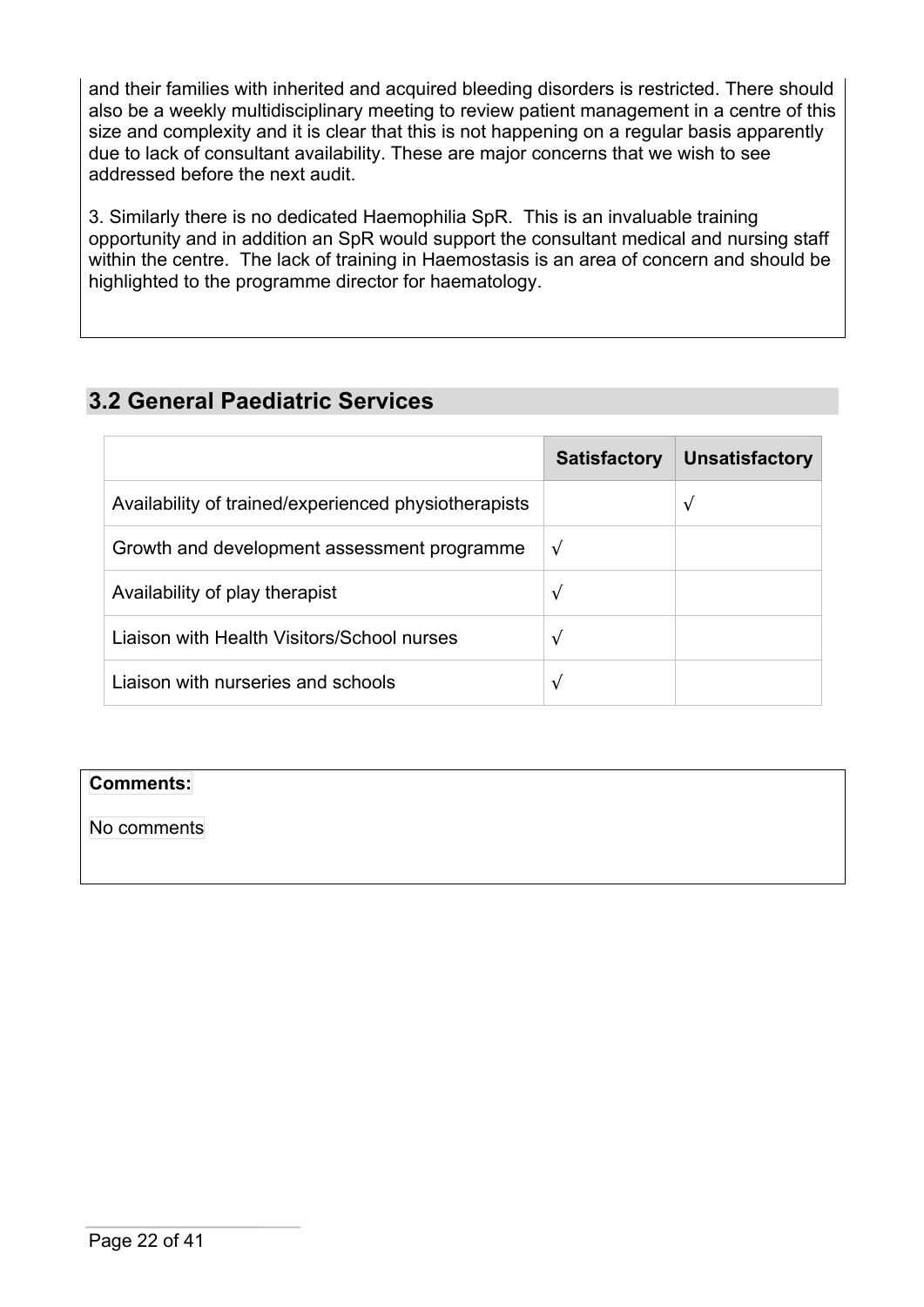and their families with inherited and acquired bleeding disorders is restricted. There should also be a weekly multidisciplinary meeting to review patient management in a centre of this size and complexity and it is clear that this is not happening on a regular basis apparently due to lack of consultant availability. These are major concerns that we wish to see addressed before the next audit.

3. Similarly there is no dedicated Haemophilia SpR. This is an invaluable training opportunity and in addition an SpR would support the consultant medical and nursing staff within the centre. The lack of training in Haemostasis is an area of concern and should be highlighted to the programme director for haematology.

# **3.2 General Paediatric Services**

|                                                      | <b>Satisfactory</b> | <b>Unsatisfactory</b> |
|------------------------------------------------------|---------------------|-----------------------|
| Availability of trained/experienced physiotherapists |                     | $\sqrt{ }$            |
| Growth and development assessment programme          | $\sqrt{ }$          |                       |
| Availability of play therapist                       | $\sqrt{ }$          |                       |
| Liaison with Health Visitors/School nurses           | $\sqrt{ }$          |                       |
| Liaison with nurseries and schools                   | V                   |                       |

### **Comments:**

No comments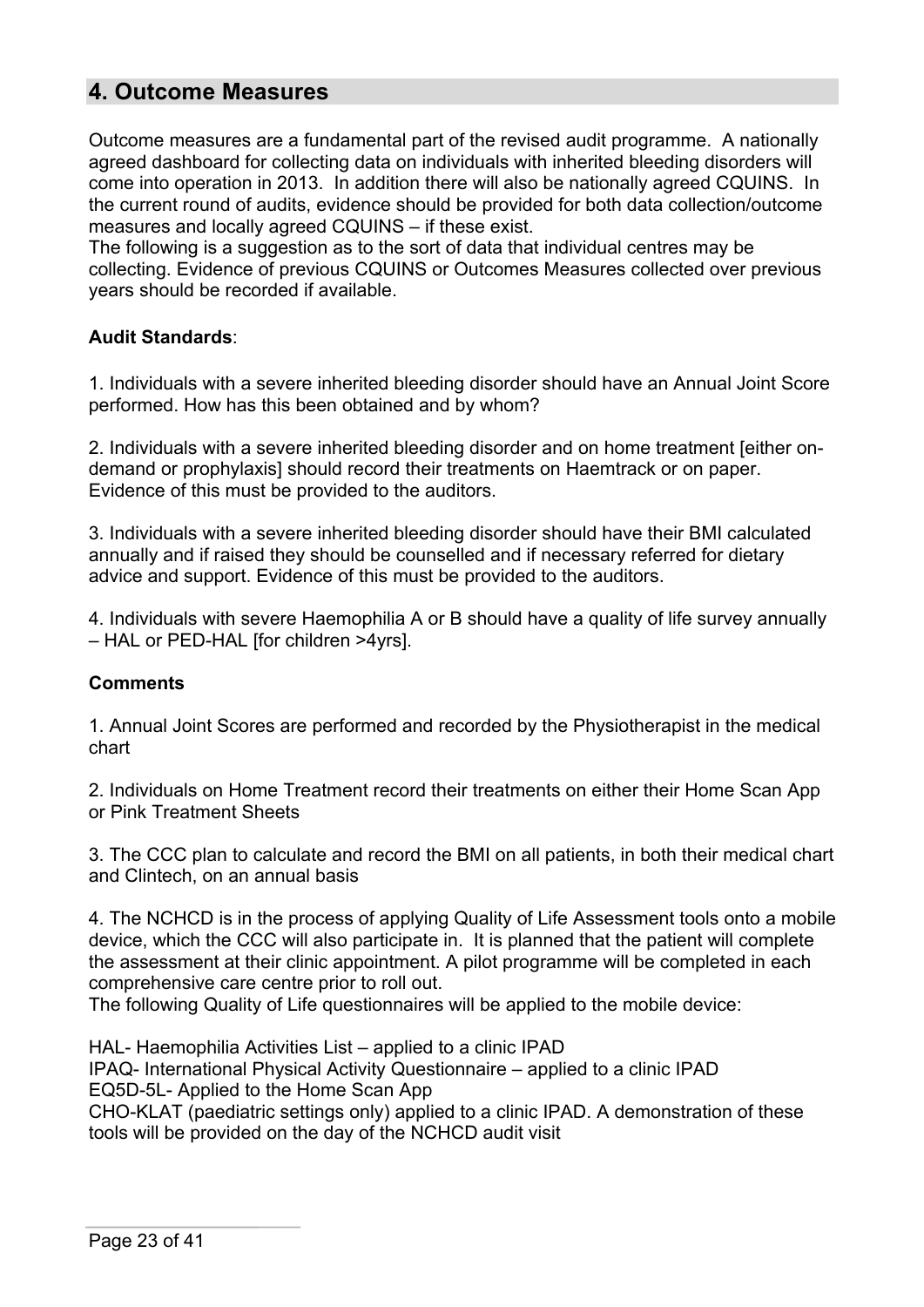## **4. Outcome Measures**

Outcome measures are a fundamental part of the revised audit programme. A nationally agreed dashboard for collecting data on individuals with inherited bleeding disorders will come into operation in 2013. In addition there will also be nationally agreed CQUINS. In the current round of audits, evidence should be provided for both data collection/outcome measures and locally agreed CQUINS – if these exist.

The following is a suggestion as to the sort of data that individual centres may be collecting. Evidence of previous CQUINS or Outcomes Measures collected over previous years should be recorded if available.

### **Audit Standards**:

1. Individuals with a severe inherited bleeding disorder should have an Annual Joint Score performed. How has this been obtained and by whom?

2. Individuals with a severe inherited bleeding disorder and on home treatment [either ondemand or prophylaxis] should record their treatments on Haemtrack or on paper. Evidence of this must be provided to the auditors.

3. Individuals with a severe inherited bleeding disorder should have their BMI calculated annually and if raised they should be counselled and if necessary referred for dietary advice and support. Evidence of this must be provided to the auditors.

4. Individuals with severe Haemophilia A or B should have a quality of life survey annually – HAL or PED-HAL [for children >4yrs].

#### **Comments**

1. Annual Joint Scores are performed and recorded by the Physiotherapist in the medical chart

2. Individuals on Home Treatment record their treatments on either their Home Scan App or Pink Treatment Sheets

3. The CCC plan to calculate and record the BMI on all patients, in both their medical chart and Clintech, on an annual basis

4. The NCHCD is in the process of applying Quality of Life Assessment tools onto a mobile device, which the CCC will also participate in. It is planned that the patient will complete the assessment at their clinic appointment. A pilot programme will be completed in each comprehensive care centre prior to roll out.

The following Quality of Life questionnaires will be applied to the mobile device:

HAL- Haemophilia Activities List – applied to a clinic IPAD IPAQ- International Physical Activity Questionnaire – applied to a clinic IPAD EQ5D-5L- Applied to the Home Scan App CHO-KLAT (paediatric settings only) applied to a clinic IPAD. A demonstration of these tools will be provided on the day of the NCHCD audit visit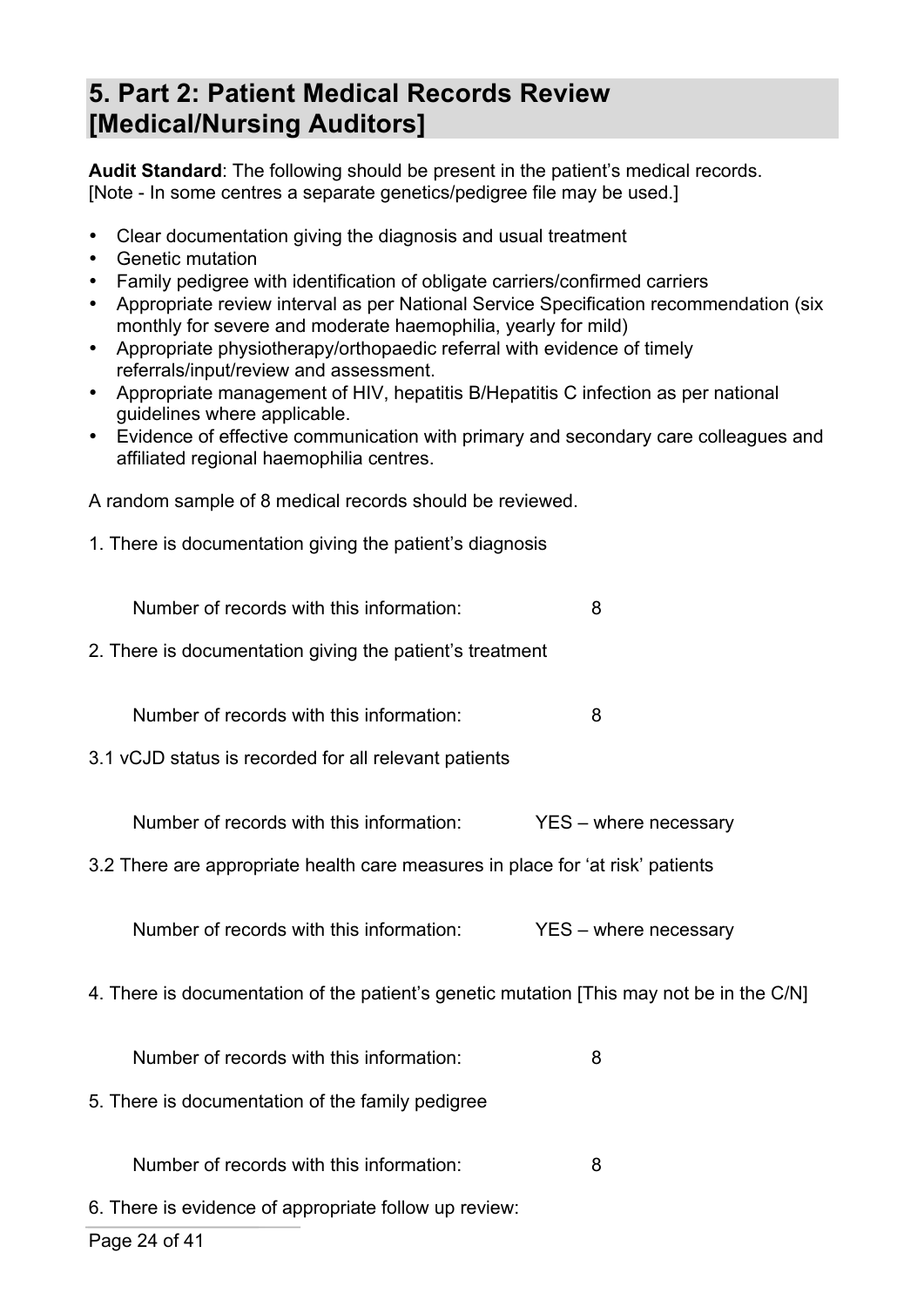# **5. Part 2: Patient Medical Records Review [Medical/Nursing Auditors]**

**Audit Standard**: The following should be present in the patient's medical records. [Note - In some centres a separate genetics/pedigree file may be used.]

- Clear documentation giving the diagnosis and usual treatment
- Genetic mutation
- Family pedigree with identification of obligate carriers/confirmed carriers
- Appropriate review interval as per National Service Specification recommendation (six monthly for severe and moderate haemophilia, yearly for mild)
- Appropriate physiotherapy/orthopaedic referral with evidence of timely referrals/input/review and assessment.
- Appropriate management of HIV, hepatitis B/Hepatitis C infection as per national guidelines where applicable.
- Evidence of effective communication with primary and secondary care colleagues and affiliated regional haemophilia centres.

A random sample of 8 medical records should be reviewed.

1. There is documentation giving the patient's diagnosis

Number of records with this information: 8

2. There is documentation giving the patient's treatment

Number of records with this information: 8

3.1 vCJD status is recorded for all relevant patients

Number of records with this information: YES – where necessary

3.2 There are appropriate health care measures in place for 'at risk' patients

Number of records with this information: YES – where necessary

4. There is documentation of the patient's genetic mutation [This may not be in the C/N]

Number of records with this information: 8

5. There is documentation of the family pedigree

Number of records with this information: 8

6. There is evidence of appropriate follow up review: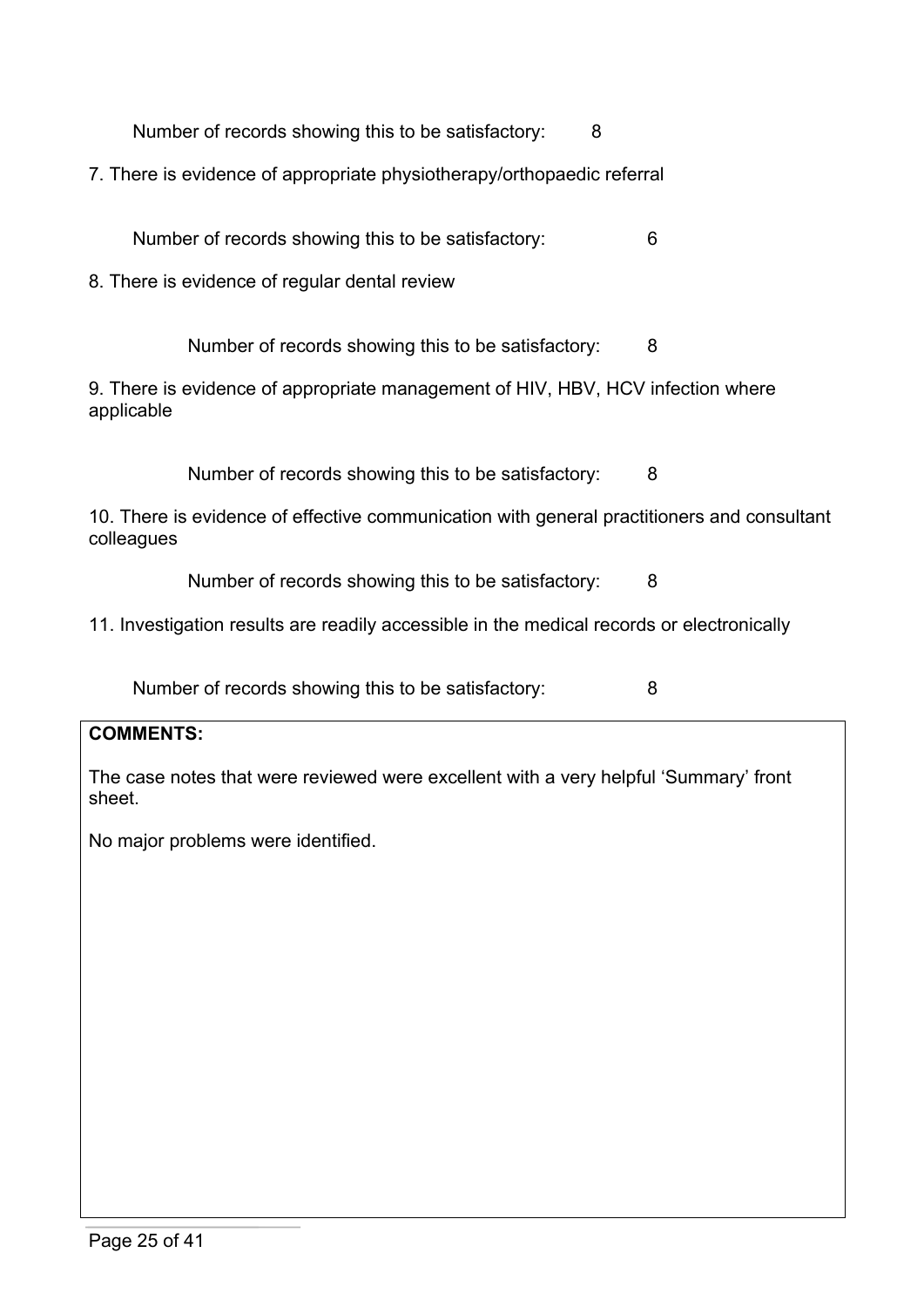| Number of records showing this to be satisfactory: |  |
|----------------------------------------------------|--|
|----------------------------------------------------|--|

7. There is evidence of appropriate physiotherapy/orthopaedic referral

Number of records showing this to be satisfactory: 6

8. There is evidence of regular dental review

Number of records showing this to be satisfactory: 8

9. There is evidence of appropriate management of HIV, HBV, HCV infection where applicable

Number of records showing this to be satisfactory: 8

10. There is evidence of effective communication with general practitioners and consultant colleagues

Number of records showing this to be satisfactory: 8

11. Investigation results are readily accessible in the medical records or electronically

Number of records showing this to be satisfactory: 8

#### **COMMENTS:**

The case notes that were reviewed were excellent with a very helpful 'Summary' front sheet.

No major problems were identified.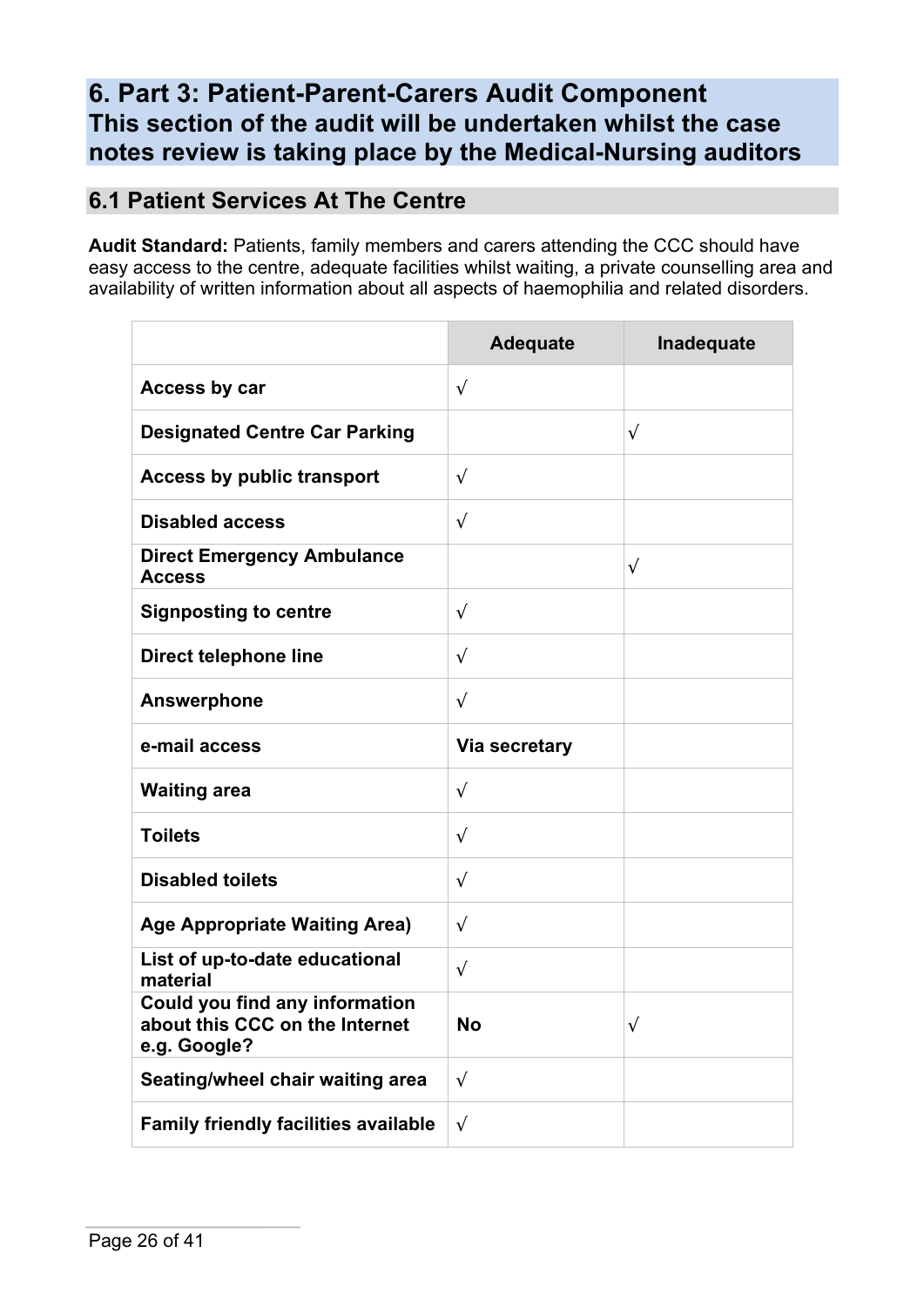# **6. Part 3: Patient-Parent-Carers Audit Component This section of the audit will be undertaken whilst the case notes review is taking place by the Medical-Nursing auditors**

# **6.1 Patient Services At The Centre**

**Audit Standard:** Patients, family members and carers attending the CCC should have easy access to the centre, adequate facilities whilst waiting, a private counselling area and availability of written information about all aspects of haemophilia and related disorders.

|                                                                                  | <b>Adequate</b> | Inadequate |
|----------------------------------------------------------------------------------|-----------------|------------|
| Access by car                                                                    | $\sqrt{ }$      |            |
| <b>Designated Centre Car Parking</b>                                             |                 | $\sqrt{ }$ |
| <b>Access by public transport</b>                                                | $\sqrt{ }$      |            |
| <b>Disabled access</b>                                                           | $\sqrt{ }$      |            |
| <b>Direct Emergency Ambulance</b><br><b>Access</b>                               |                 | $\sqrt{}$  |
| <b>Signposting to centre</b>                                                     | $\sqrt{ }$      |            |
| <b>Direct telephone line</b>                                                     | $\sqrt{ }$      |            |
| <b>Answerphone</b>                                                               | $\sqrt{ }$      |            |
| e-mail access                                                                    | Via secretary   |            |
| <b>Waiting area</b>                                                              | $\sqrt{ }$      |            |
| <b>Toilets</b>                                                                   | $\sqrt{ }$      |            |
| <b>Disabled toilets</b>                                                          | $\sqrt{ }$      |            |
| <b>Age Appropriate Waiting Area)</b>                                             | $\sqrt{ }$      |            |
| List of up-to-date educational<br>material                                       | $\sqrt{ }$      |            |
| Could you find any information<br>about this CCC on the Internet<br>e.g. Google? | No              | $\sqrt{}$  |
| Seating/wheel chair waiting area                                                 | $\sqrt{ }$      |            |
| <b>Family friendly facilities available</b>                                      | $\sqrt{ }$      |            |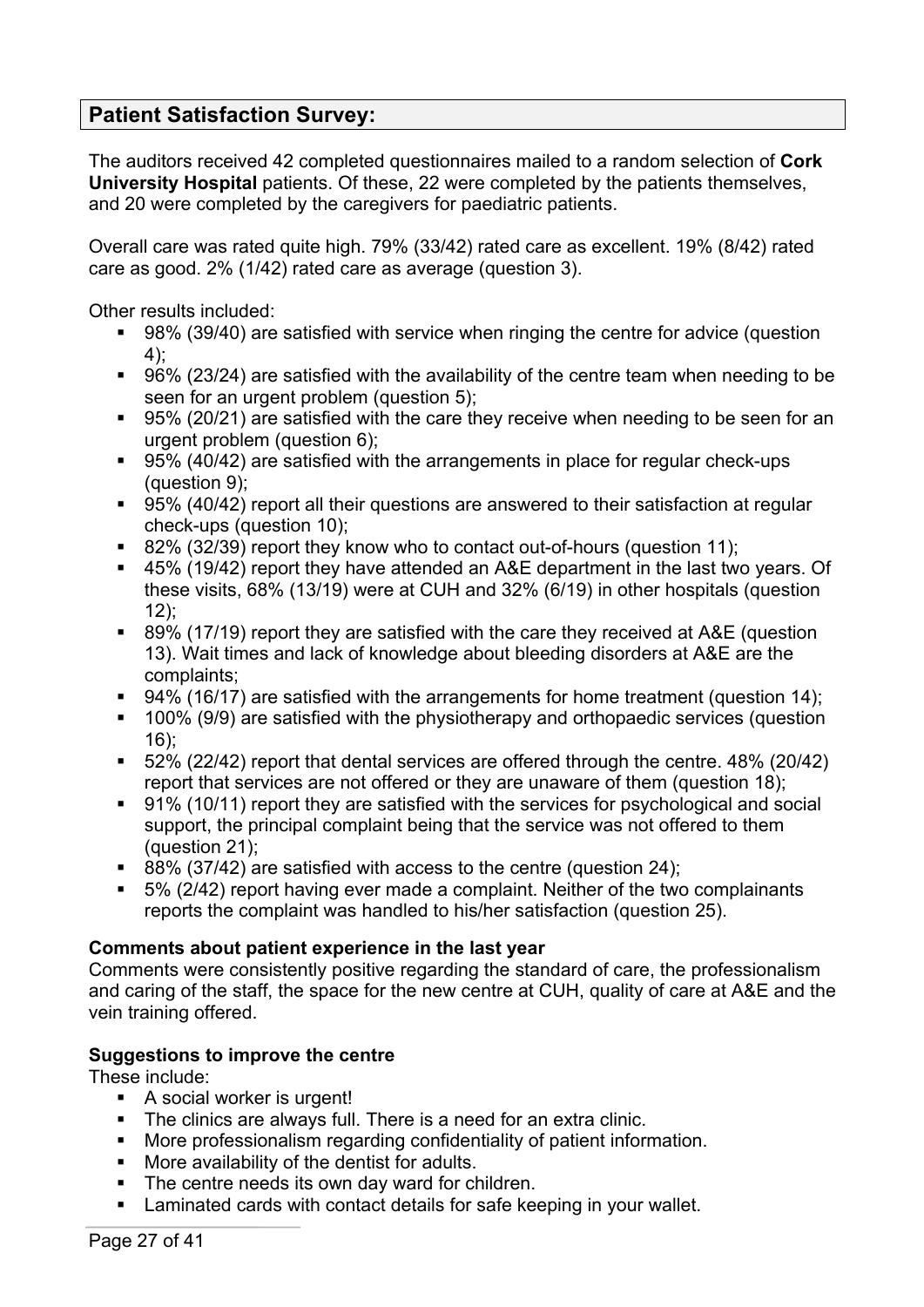## **Patient Satisfaction Survey:**

The auditors received 42 completed questionnaires mailed to a random selection of **Cork University Hospital** patients. Of these, 22 were completed by the patients themselves, and 20 were completed by the caregivers for paediatric patients.

Overall care was rated quite high. 79% (33/42) rated care as excellent. 19% (8/42) rated care as good. 2% (1/42) rated care as average (question 3).

Other results included:

- 98% (39/40) are satisfied with service when ringing the centre for advice (question 4);
- 96% (23/24) are satisfied with the availability of the centre team when needing to be seen for an urgent problem (question 5);
- 95% (20/21) are satisfied with the care they receive when needing to be seen for an urgent problem (question 6);
- § 95% (40/42) are satisfied with the arrangements in place for regular check-ups (question 9);
- 95% (40/42) report all their questions are answered to their satisfaction at regular check-ups (question 10);
- 82% (32/39) report they know who to contact out-of-hours (question 11);
- § 45% (19/42) report they have attended an A&E department in the last two years. Of these visits, 68% (13/19) were at CUH and 32% (6/19) in other hospitals (question  $12$ :
- 89% (17/19) report they are satisfied with the care they received at A&E (question 13). Wait times and lack of knowledge about bleeding disorders at A&E are the complaints;
- 94% (16/17) are satisfied with the arrangements for home treatment (question 14);
- 100% (9/9) are satisfied with the physiotherapy and orthopaedic services (question 16);
- § 52% (22/42) report that dental services are offered through the centre. 48% (20/42) report that services are not offered or they are unaware of them (question 18);
- 91% (10/11) report they are satisfied with the services for psychological and social support, the principal complaint being that the service was not offered to them (question 21);
- § 88% (37/42) are satisfied with access to the centre (question 24);
- § 5% (2/42) report having ever made a complaint. Neither of the two complainants reports the complaint was handled to his/her satisfaction (question 25).

#### **Comments about patient experience in the last year**

Comments were consistently positive regarding the standard of care, the professionalism and caring of the staff, the space for the new centre at CUH, quality of care at A&E and the vein training offered.

### **Suggestions to improve the centre**

These include:

- A social worker is urgent!
- The clinics are always full. There is a need for an extra clinic.
- More professionalism regarding confidentiality of patient information.
- More availability of the dentist for adults.
- The centre needs its own day ward for children.
- Laminated cards with contact details for safe keeping in your wallet.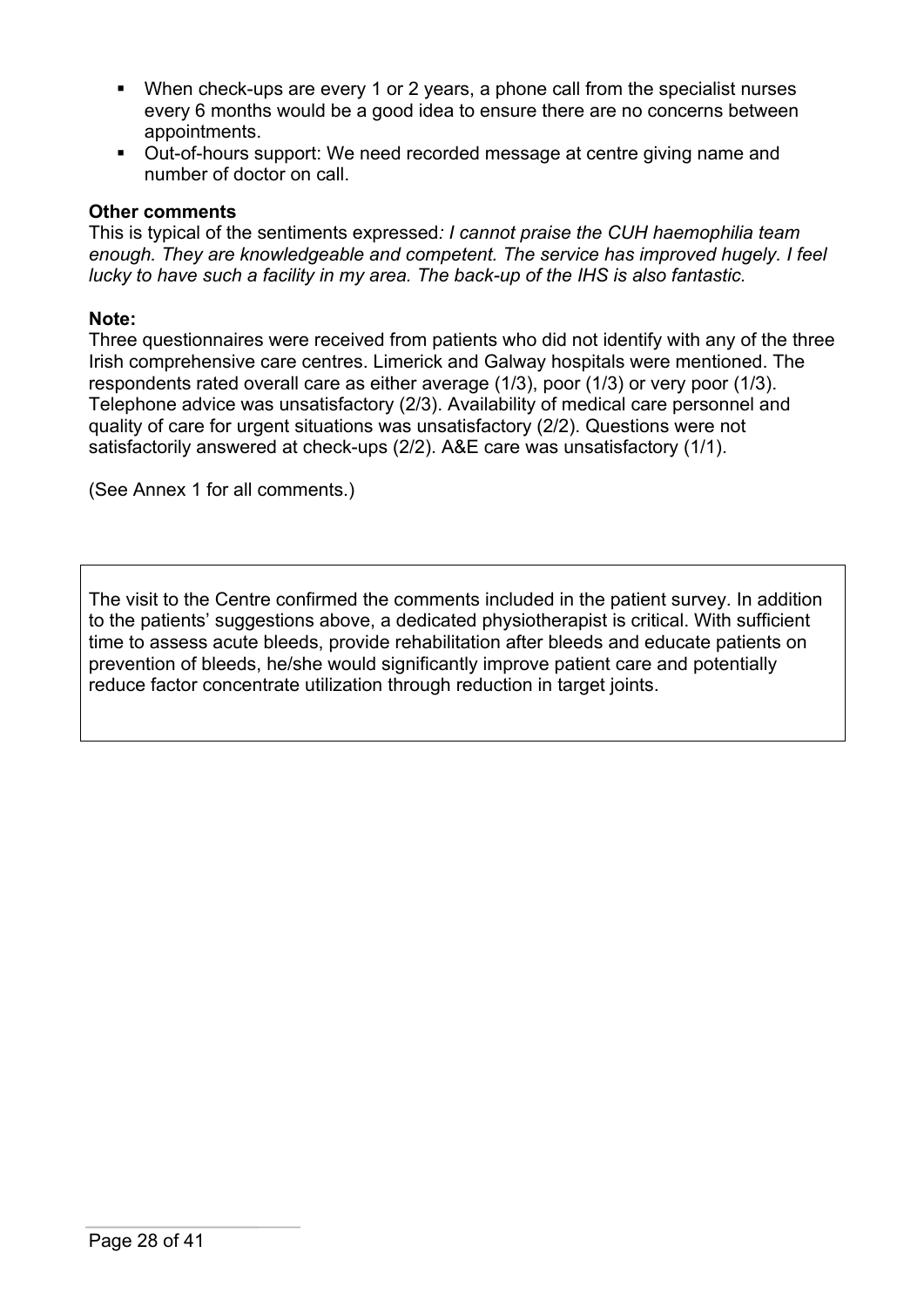- § When check-ups are every 1 or 2 years, a phone call from the specialist nurses every 6 months would be a good idea to ensure there are no concerns between appointments.
- § Out-of-hours support: We need recorded message at centre giving name and number of doctor on call.

#### **Other comments**

This is typical of the sentiments expressed*: I cannot praise the CUH haemophilia team enough. They are knowledgeable and competent. The service has improved hugely. I feel lucky to have such a facility in my area. The back-up of the IHS is also fantastic.*

#### **Note:**

Three questionnaires were received from patients who did not identify with any of the three Irish comprehensive care centres. Limerick and Galway hospitals were mentioned. The respondents rated overall care as either average (1/3), poor (1/3) or very poor (1/3). Telephone advice was unsatisfactory (2/3). Availability of medical care personnel and quality of care for urgent situations was unsatisfactory (2/2). Questions were not satisfactorily answered at check-ups (2/2). A&E care was unsatisfactory (1/1).

(See Annex 1 for all comments.)

The visit to the Centre confirmed the comments included in the patient survey. In addition to the patients' suggestions above, a dedicated physiotherapist is critical. With sufficient time to assess acute bleeds, provide rehabilitation after bleeds and educate patients on prevention of bleeds, he/she would significantly improve patient care and potentially reduce factor concentrate utilization through reduction in target joints.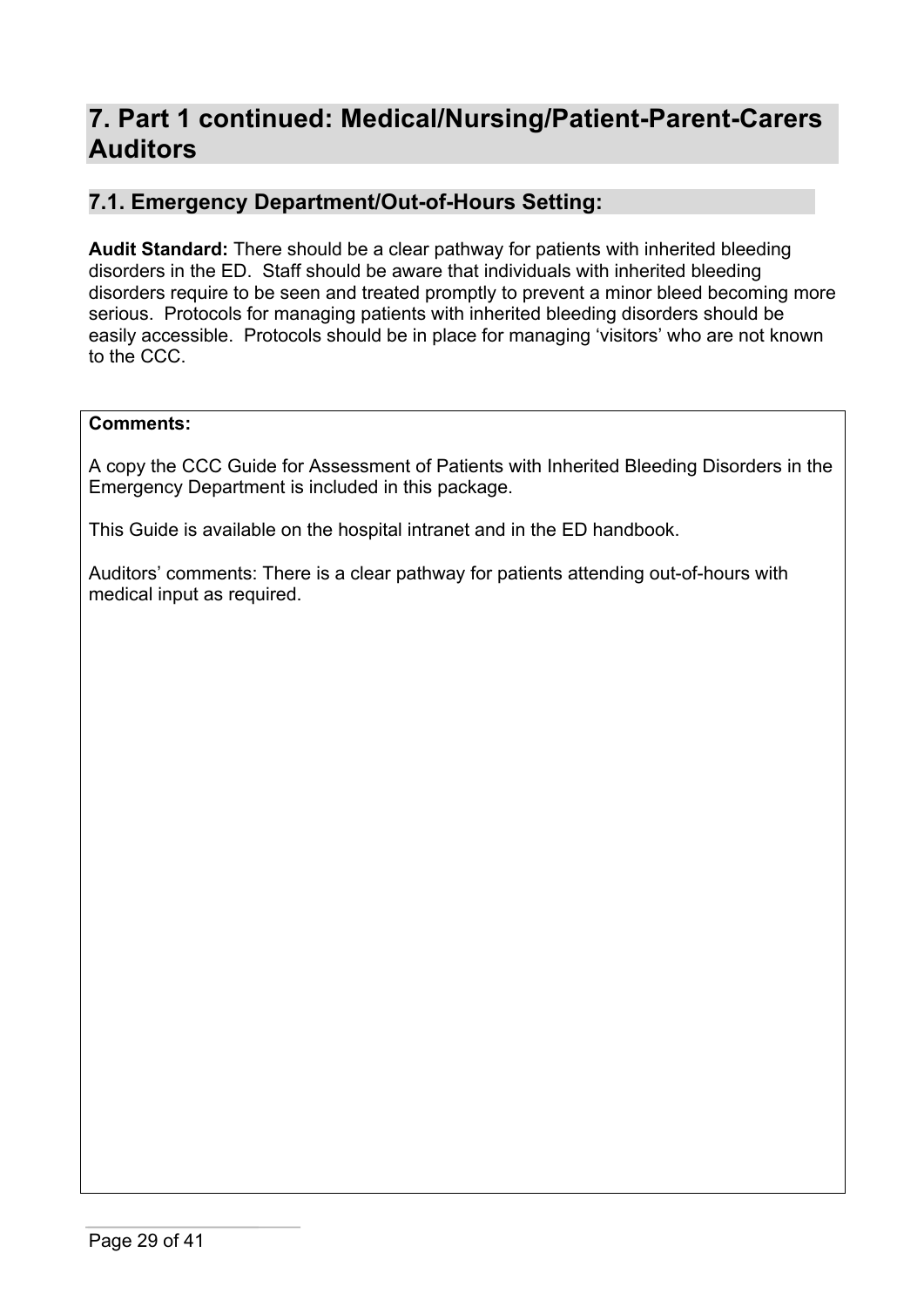# **7. Part 1 continued: Medical/Nursing/Patient-Parent-Carers Auditors**

## **7.1. Emergency Department/Out-of-Hours Setting:**

**Audit Standard:** There should be a clear pathway for patients with inherited bleeding disorders in the ED. Staff should be aware that individuals with inherited bleeding disorders require to be seen and treated promptly to prevent a minor bleed becoming more serious. Protocols for managing patients with inherited bleeding disorders should be easily accessible. Protocols should be in place for managing 'visitors' who are not known to the CCC.

#### **Comments:**

A copy the CCC Guide for Assessment of Patients with Inherited Bleeding Disorders in the Emergency Department is included in this package.

This Guide is available on the hospital intranet and in the ED handbook.

Auditors' comments: There is a clear pathway for patients attending out-of-hours with medical input as required.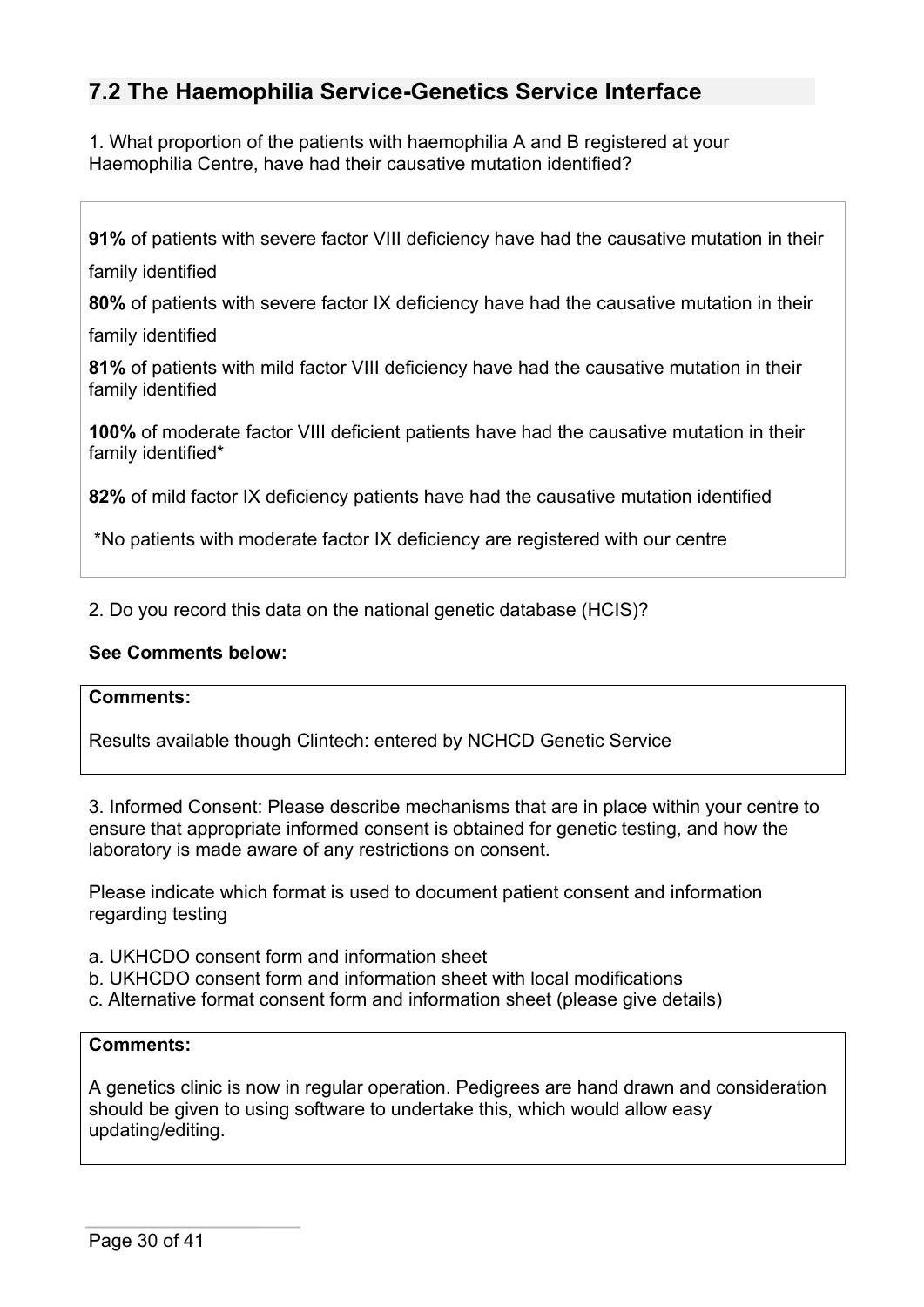# **7.2 The Haemophilia Service-Genetics Service Interface**

1. What proportion of the patients with haemophilia A and B registered at your Haemophilia Centre, have had their causative mutation identified?

**91%** of patients with severe factor VIII deficiency have had the causative mutation in their

family identified

**80%** of patients with severe factor IX deficiency have had the causative mutation in their

family identified

**81%** of patients with mild factor VIII deficiency have had the causative mutation in their family identified

**100%** of moderate factor VIII deficient patients have had the causative mutation in their family identified\*

**82%** of mild factor IX deficiency patients have had the causative mutation identified

\*No patients with moderate factor IX deficiency are registered with our centre

2. Do you record this data on the national genetic database (HCIS)?

#### **See Comments below:**

#### **Comments:**

Results available though Clintech: entered by NCHCD Genetic Service

3. Informed Consent: Please describe mechanisms that are in place within your centre to ensure that appropriate informed consent is obtained for genetic testing, and how the laboratory is made aware of any restrictions on consent.

Please indicate which format is used to document patient consent and information regarding testing

- a. UKHCDO consent form and information sheet
- b. UKHCDO consent form and information sheet with local modifications
- c. Alternative format consent form and information sheet (please give details)

#### **Comments:**

A genetics clinic is now in regular operation. Pedigrees are hand drawn and consideration should be given to using software to undertake this, which would allow easy updating/editing.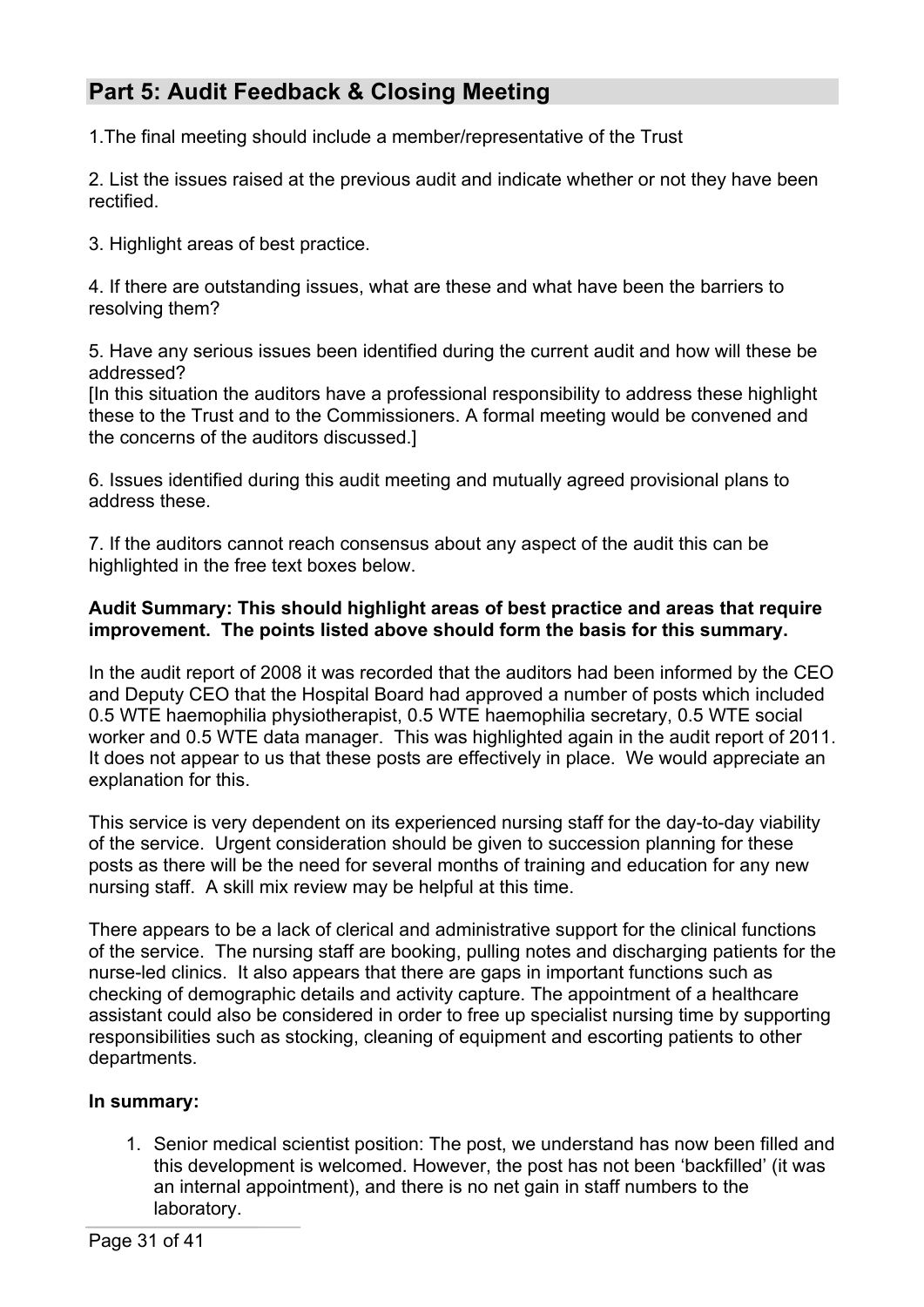# **Part 5: Audit Feedback & Closing Meeting**

1.The final meeting should include a member/representative of the Trust

2. List the issues raised at the previous audit and indicate whether or not they have been rectified.

3. Highlight areas of best practice.

4. If there are outstanding issues, what are these and what have been the barriers to resolving them?

5. Have any serious issues been identified during the current audit and how will these be addressed?

[In this situation the auditors have a professional responsibility to address these highlight these to the Trust and to the Commissioners. A formal meeting would be convened and the concerns of the auditors discussed.]

6. Issues identified during this audit meeting and mutually agreed provisional plans to address these.

7. If the auditors cannot reach consensus about any aspect of the audit this can be highlighted in the free text boxes below.

#### **Audit Summary: This should highlight areas of best practice and areas that require improvement. The points listed above should form the basis for this summary.**

In the audit report of 2008 it was recorded that the auditors had been informed by the CEO and Deputy CEO that the Hospital Board had approved a number of posts which included 0.5 WTE haemophilia physiotherapist, 0.5 WTE haemophilia secretary, 0.5 WTE social worker and 0.5 WTE data manager. This was highlighted again in the audit report of 2011. It does not appear to us that these posts are effectively in place. We would appreciate an explanation for this.

This service is very dependent on its experienced nursing staff for the day-to-day viability of the service. Urgent consideration should be given to succession planning for these posts as there will be the need for several months of training and education for any new nursing staff. A skill mix review may be helpful at this time.

There appears to be a lack of clerical and administrative support for the clinical functions of the service. The nursing staff are booking, pulling notes and discharging patients for the nurse-led clinics. It also appears that there are gaps in important functions such as checking of demographic details and activity capture. The appointment of a healthcare assistant could also be considered in order to free up specialist nursing time by supporting responsibilities such as stocking, cleaning of equipment and escorting patients to other departments.

### **In summary:**

1. Senior medical scientist position: The post, we understand has now been filled and this development is welcomed. However, the post has not been 'backfilled' (it was an internal appointment), and there is no net gain in staff numbers to the laboratory.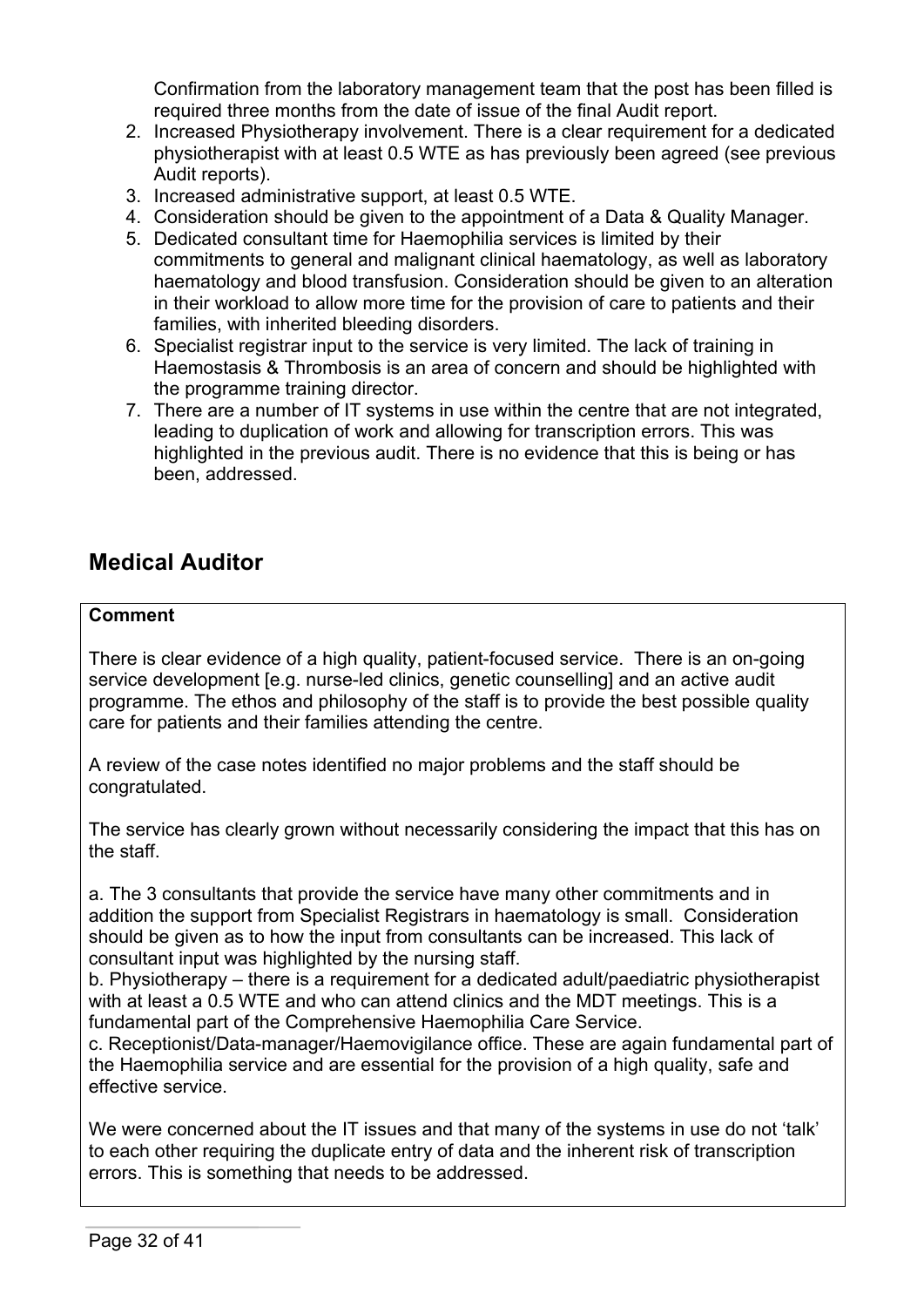Confirmation from the laboratory management team that the post has been filled is required three months from the date of issue of the final Audit report.

- 2. Increased Physiotherapy involvement. There is a clear requirement for a dedicated physiotherapist with at least 0.5 WTE as has previously been agreed (see previous Audit reports).
- 3. Increased administrative support, at least 0.5 WTE.
- 4. Consideration should be given to the appointment of a Data & Quality Manager.
- 5. Dedicated consultant time for Haemophilia services is limited by their commitments to general and malignant clinical haematology, as well as laboratory haematology and blood transfusion. Consideration should be given to an alteration in their workload to allow more time for the provision of care to patients and their families, with inherited bleeding disorders.
- 6. Specialist registrar input to the service is very limited. The lack of training in Haemostasis & Thrombosis is an area of concern and should be highlighted with the programme training director.
- 7. There are a number of IT systems in use within the centre that are not integrated, leading to duplication of work and allowing for transcription errors. This was highlighted in the previous audit. There is no evidence that this is being or has been, addressed.

# **Medical Auditor**

### **Comment**

There is clear evidence of a high quality, patient-focused service. There is an on-going service development [e.g. nurse-led clinics, genetic counselling] and an active audit programme. The ethos and philosophy of the staff is to provide the best possible quality care for patients and their families attending the centre.

A review of the case notes identified no major problems and the staff should be congratulated.

The service has clearly grown without necessarily considering the impact that this has on the staff.

a. The 3 consultants that provide the service have many other commitments and in addition the support from Specialist Registrars in haematology is small. Consideration should be given as to how the input from consultants can be increased. This lack of consultant input was highlighted by the nursing staff.

b. Physiotherapy – there is a requirement for a dedicated adult/paediatric physiotherapist with at least a 0.5 WTE and who can attend clinics and the MDT meetings. This is a fundamental part of the Comprehensive Haemophilia Care Service.

c. Receptionist/Data-manager/Haemovigilance office. These are again fundamental part of the Haemophilia service and are essential for the provision of a high quality, safe and effective service.

We were concerned about the IT issues and that many of the systems in use do not 'talk' to each other requiring the duplicate entry of data and the inherent risk of transcription errors. This is something that needs to be addressed.